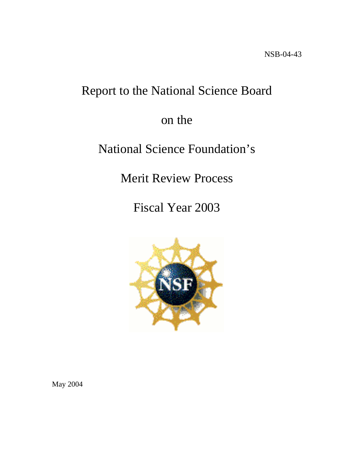# Report to the National Science Board

# on the

# National Science Foundation's

Merit Review Process

Fiscal Year 2003



May 2004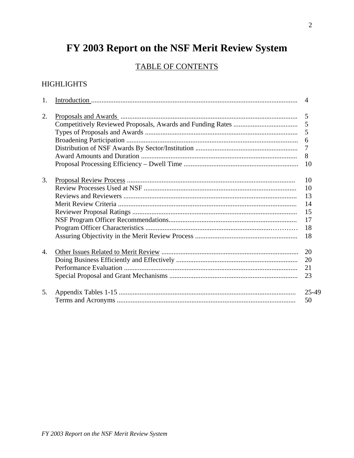# FY 2003 Report on the NSF Merit Review System

# TABLE OF CONTENTS

# **HIGHLIGHTS**

| 2.                    | 5<br>5<br>5<br>6<br>$\overline{7}$<br>8<br>10 |
|-----------------------|-----------------------------------------------|
|                       |                                               |
|                       |                                               |
|                       |                                               |
|                       |                                               |
|                       |                                               |
|                       |                                               |
|                       |                                               |
|                       |                                               |
| 3.                    | 10                                            |
|                       | 10                                            |
|                       | 13                                            |
|                       | 14                                            |
|                       | 15                                            |
|                       | 17                                            |
|                       | 18                                            |
|                       | 18                                            |
|                       |                                               |
| $\mathcal{A}_{\cdot}$ | 20                                            |
|                       | 20                                            |
|                       | 21                                            |
|                       | 23                                            |
| 5.                    | 25-49                                         |
|                       | 50                                            |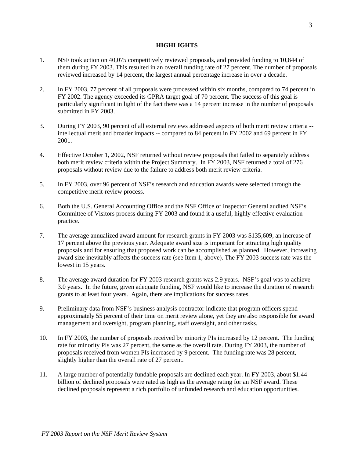#### **HIGHLIGHTS**

- 1. NSF took action on 40,075 competitively reviewed proposals, and provided funding to 10,844 of them during FY 2003. This resulted in an overall funding rate of 27 percent. The number of proposals reviewed increased by 14 percent, the largest annual percentage increase in over a decade.
- 2. In FY 2003, 77 percent of all proposals were processed within six months, compared to 74 percent in FY 2002. The agency exceeded its GPRA target goal of 70 percent. The success of this goal is particularly significant in light of the fact there was a 14 percent increase in the number of proposals submitted in FY 2003.
- 3. During FY 2003, 90 percent of all external reviews addressed aspects of both merit review criteria intellectual merit and broader impacts -- compared to 84 percent in FY 2002 and 69 percent in FY 2001.
- 4. Effective October 1, 2002, NSF returned without review proposals that failed to separately address both merit review criteria within the Project Summary. In FY 2003, NSF returned a total of 276 proposals without review due to the failure to address both merit review criteria.
- 5. In FY 2003, over 96 percent of NSF's research and education awards were selected through the competitive merit-review process.
- 6. Both the U.S. General Accounting Office and the NSF Office of Inspector General audited NSF's Committee of Visitors process during FY 2003 and found it a useful, highly effective evaluation practice.
- 7. The average annualized award amount for research grants in FY 2003 was \$135,609, an increase of 17 percent above the previous year. Adequate award size is important for attracting high quality proposals and for ensuring that proposed work can be accomplished as planned. However, increasing award size inevitably affects the success rate (see Item 1, above). The FY 2003 success rate was the lowest in 15 years.
- 8. The average award duration for FY 2003 research grants was 2.9 years. NSF's goal was to achieve 3.0 years. In the future, given adequate funding, NSF would like to increase the duration of research grants to at least four years. Again, there are implications for success rates.
- 9. Preliminary data from NSF's business analysis contractor indicate that program officers spend approximately 55 percent of their time on merit review alone, yet they are also responsible for award management and oversight, program planning, staff oversight, and other tasks.
- 10. In FY 2003, the number of proposals received by minority PIs increased by 12 percent. The funding rate for minority PIs was 27 percent, the same as the overall rate. During FY 2003, the number of proposals received from women PIs increased by 9 percent. The funding rate was 28 percent, slightly higher than the overall rate of 27 percent.
- 11. A large number of potentially fundable proposals are declined each year. In FY 2003, about \$1.44 billion of declined proposals were rated as high as the average rating for an NSF award. These declined proposals represent a rich portfolio of unfunded research and education opportunities.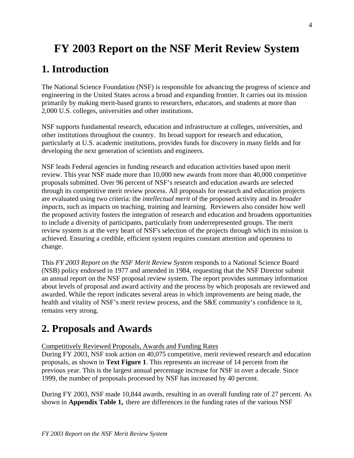# **FY 2003 Report on the NSF Merit Review System**

# **1. Introduction**

The National Science Foundation (NSF) is responsible for advancing the progress of science and engineering in the United States across a broad and expanding frontier. It carries out its mission primarily by making merit-based grants to researchers, educators, and students at more than 2,000 U.S. colleges, universities and other institutions.

NSF supports fundamental research, education and infrastructure at colleges, universities, and other institutions throughout the country. Its broad support for research and education, particularly at U.S. academic institutions, provides funds for discovery in many fields and for developing the next generation of scientists and engineers.

NSF leads Federal agencies in funding research and education activities based upon merit review. This year NSF made more than 10,000 new awards from more than 40,000 competitive proposals submitted. Over 96 percent of NSF's research and education awards are selected through its competitive merit review process. All proposals for research and education projects are evaluated using two criteria: the *intellectual merit* of the proposed activity and its *broader impacts*, such as impacts on teaching, training and learning. Reviewers also consider how well the proposed activity fosters the integration of research and education and broadens opportunities to include a diversity of participants, particularly from underrepresented groups. The merit review system is at the very heart of NSF's selection of the projects through which its mission is achieved. Ensuring a credible, efficient system requires constant attention and openness to change.

This *FY 2003 Report on the NSF Merit Review System* responds to a National Science Board (NSB) policy endorsed in 1977 and amended in 1984, requesting that the NSF Director submit an annual report on the NSF proposal review system. The report provides summary information about levels of proposal and award activity and the process by which proposals are reviewed and awarded. While the report indicates several areas in which improvements are being made, the health and vitality of NSF's merit review process, and the S&E community's confidence in it, remains very strong.

# **2. Proposals and Awards**

Competitively Reviewed Proposals, Awards and Funding Rates

During FY 2003, NSF took action on 40,075 competitive, merit reviewed research and education proposals, as shown in **Text Figure 1**. This represents an increase of 14 percent from the previous year. This is the largest annual percentage increase for NSF in over a decade. Since 1999, the number of proposals processed by NSF has increased by 40 percent.

During FY 2003, NSF made 10,844 awards, resulting in an overall funding rate of 27 percent. As shown in **Appendix Table 1,** there are differences in the funding rates of the various NSF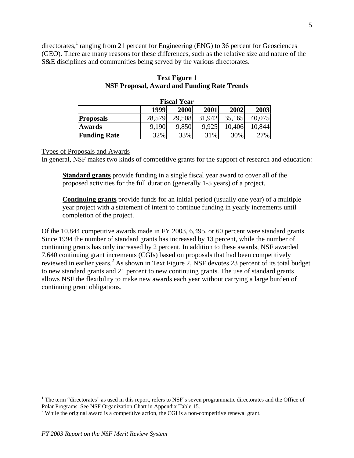directorates,<sup>1</sup> ranging from 21 percent for Engineering (ENG) to 36 percent for Geosciences (GEO). There are many reasons for these differences, such as the relative size and nature of the S&E disciplines and communities being served by the various directorates.

| <b>Fiscal Year</b>  |                                      |        |        |        |        |  |  |  |  |  |
|---------------------|--------------------------------------|--------|--------|--------|--------|--|--|--|--|--|
|                     | 1999<br>2003<br>2000<br>2001<br>2002 |        |        |        |        |  |  |  |  |  |
| <b>Proposals</b>    | 28,579                               | 29,508 | 31,942 | 35,165 | 40,075 |  |  |  |  |  |
| <b>Awards</b>       | 9.190                                | 9,850  | 9,925  | 10,406 | 10,844 |  |  |  |  |  |
| <b>Funding Rate</b> | 32%                                  | 33%    | 31%    | 30%    | 27%    |  |  |  |  |  |

#### **Text Figure 1 NSF Proposal, Award and Funding Rate Trends**

#### Types of Proposals and Awards

In general, NSF makes two kinds of competitive grants for the support of research and education:

**Standard grants** provide funding in a single fiscal year award to cover all of the proposed activities for the full duration (generally 1-5 years) of a project.

**Continuing grants** provide funds for an initial period (usually one year) of a multiple year project with a statement of intent to continue funding in yearly increments until completion of the project.

Of the 10,844 competitive awards made in FY 2003, 6,495, or 60 percent were standard grants. Since 1994 the number of standard grants has increased by 13 percent, while the number of continuing grants has only increased by 2 percent. In addition to these awards, NSF awarded 7,640 continuing grant increments (CGIs) based on proposals that had been competitively reviewed in earlier years.<sup>[2](#page-4-1)</sup> As shown in Text Figure 2, NSF devotes 23 percent of its total budget to new standard grants and 21 percent to new continuing grants. The use of standard grants allows NSF the flexibility to make new awards each year without carrying a large burden of continuing grant obligations.

 $\overline{a}$ 

<span id="page-4-0"></span><sup>&</sup>lt;sup>1</sup> The term "directorates" as used in this report, refers to NSF's seven programmatic directorates and the Office of Polar Programs. See NSF Organization Chart in Appendix Table 15.<br><sup>2</sup> While the original award is a competitive action, the CGI is a non-competitive renewal grant.

<span id="page-4-1"></span>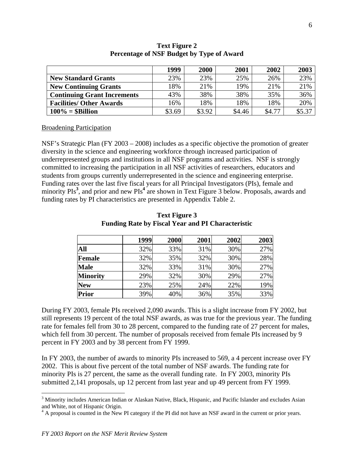|                                    | 1999   | 2000   | 2001   | 2002   | 2003   |
|------------------------------------|--------|--------|--------|--------|--------|
| <b>New Standard Grants</b>         | 23%    | 23%    | 25%    | 26%    | 23%    |
| <b>New Continuing Grants</b>       | 18%    | 21%    | 19%    | 21%    | 21%    |
| <b>Continuing Grant Increments</b> | 43%    | 38%    | 38%    | 35%    | 36%    |
| <b>Facilities/ Other Awards</b>    | 16%    | 18%    | 18%    | 18%    | 20%    |
| $100\% = $Billion$                 | \$3.69 | \$3.92 | \$4.46 | \$4.77 | \$5.37 |

#### **Text Figure 2 Percentage of NSF Budget by Type of Award**

Broadening Participation

NSF's Strategic Plan (FY 2003 – 2008) includes as a specific objective the promotion of greater diversity in the science and engineering workforce through increased participation of underrepresented groups and institutions in all NSF programs and activities. NSF is strongly committed to increasing the participation in all NSF activities of researchers, educators and students from groups currently underrepresented in the science and engineering enterprise. Funding rates over the last five fiscal years for all Principal Investigators (PIs), female and minority PIs<sup>[3](#page-5-0)</sup>, and prior and new PIs<sup>[4](#page-5-1)</sup> are shown in Text Figure 3 below. Proposals, awards and funding rates by PI characteristics are presented in Appendix Table 2.

|                 | 1999 | 2000 | 2001 | 2002 | 2003 |
|-----------------|------|------|------|------|------|
| All             | 32%  | 33%  | 31%  | 30%  | 27%  |
| Female          | 32%  | 35%  | 32%  | 30%  | 28%  |
| <b>Male</b>     | 32%  | 33%  | 31%  | 30%  | 27%  |
| <b>Minority</b> | 29%  | 32%  | 30%  | 29%  | 27%  |
| <b>New</b>      | 23%  | 25%  | 24%  | 22%  | 19%  |
| <b>Prior</b>    | 39%  | 40%  | 36%  | 35%  | 33%  |

**Text Figure 3 Funding Rate by Fiscal Year and PI Characteristic** 

During FY 2003, female PIs received 2,090 awards. This is a slight increase from FY 2002, but still represents 19 percent of the total NSF awards, as was true for the previous year. The funding rate for females fell from 30 to 28 percent, compared to the funding rate of 27 percent for males, which fell from 30 percent. The number of proposals received from female PIs increased by 9 percent in FY 2003 and by 38 percent from FY 1999.

In FY 2003, the number of awards to minority PIs increased to 569, a 4 percent increase over FY 2002. This is about five percent of the total number of NSF awards. The funding rate for minority PIs is 27 percent, the same as the overall funding rate. In FY 2003, minority PIs submitted 2,141 proposals, up 12 percent from last year and up 49 percent from FY 1999.

 $\overline{a}$ 

<span id="page-5-0"></span><sup>&</sup>lt;sup>3</sup> Minority includes American Indian or Alaskan Native, Black, Hispanic, and Pacific Islander and excludes Asian and White, not of Hispanic Origin. 4

<span id="page-5-1"></span> $4$  A proposal is counted in the New PI category if the PI did not have an NSF award in the current or prior years.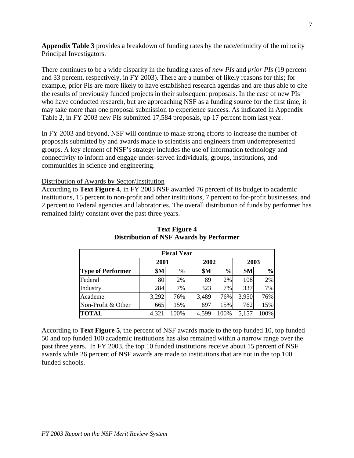**Appendix Table 3** provides a breakdown of funding rates by the race/ethnicity of the minority Principal Investigators.

There continues to be a wide disparity in the funding rates of *new PIs* and *prior PIs* (19 percent and 33 percent, respectively, in FY 2003). There are a number of likely reasons for this; for example, prior PIs are more likely to have established research agendas and are thus able to cite the results of previously funded projects in their subsequent proposals. In the case of new PIs who have conducted research, but are approaching NSF as a funding source for the first time, it may take more than one proposal submission to experience success. As indicated in Appendix Table 2, in FY 2003 new PIs submitted 17,584 proposals, up 17 percent from last year.

In FY 2003 and beyond, NSF will continue to make strong efforts to increase the number of proposals submitted by and awards made to scientists and engineers from underrepresented groups. A key element of NSF's strategy includes the use of information technology and connectivity to inform and engage under-served individuals, groups, institutions, and communities in science and engineering.

#### Distribution of Awards by Sector/Institution

According to **Text Figure 4**, in FY 2003 NSF awarded 76 percent of its budget to academic institutions, 15 percent to non-profit and other institutions, 7 percent to for-profit businesses, and 2 percent to Federal agencies and laboratories. The overall distribution of funds by performer has remained fairly constant over the past three years.

| <b>Fiscal Year</b>       |                             |      |            |               |       |               |  |  |  |
|--------------------------|-----------------------------|------|------------|---------------|-------|---------------|--|--|--|
|                          | 2001                        |      | 2002       |               | 2003  |               |  |  |  |
| <b>Type of Performer</b> | <b>\$M</b><br>$\frac{0}{0}$ |      | <b>\$M</b> | $\frac{0}{0}$ |       | $\frac{0}{0}$ |  |  |  |
| Federal                  | 80                          | 2%   | 89         | 2%            | 108   | 2%            |  |  |  |
| Industry                 | 284                         | 7%   | 323        | 7%            | 337   | 7%            |  |  |  |
| Academe                  | 3,292                       | 76%  | 3,489      | 76%           | 3,950 | 76%           |  |  |  |
| Non-Profit & Other       | 665                         | 15%  | 697        | 15%           | 762   | 15%           |  |  |  |
| <b>TOTAL</b>             | 4,321                       | 100% | 4,599      | 100%          | 5,157 | 100%          |  |  |  |

### **Text Figure 4 Distribution of NSF Awards by Performer**

According to **Text Figure 5**, the percent of NSF awards made to the top funded 10, top funded 50 and top funded 100 academic institutions has also remained within a narrow range over the past three years. In FY 2003, the top 10 funded institutions receive about 15 percent of NSF awards while 26 percent of NSF awards are made to institutions that are not in the top 100 funded schools.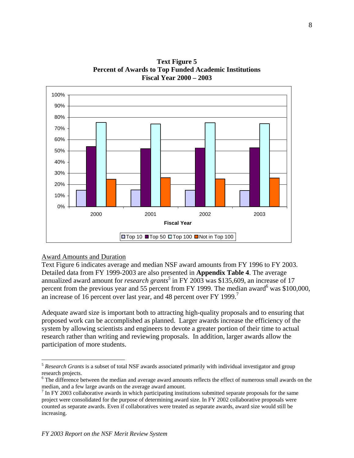

**Text Figure 5 Percent of Awards to Top Funded Academic Institutions Fiscal Year 2000 – 2003** 

#### Award Amounts and Duration

 $\overline{a}$ 

Text Figure 6 indicates average and median NSF award amounts from FY 1996 to FY 2003. Detailed data from FY 1999-2003 are also presented in **Appendix Table 4**. The average annualized award amount for *research grants*<sup>[5](#page-7-0)</sup> in FY 2003 was \$135,609, an increase of 17 percent from the previous year and 55 percent from FY 1999. The median award  $6$  was \$100,000, an increase of 16 percent over last year, and 48 percent over FY 1999.<sup>[7](#page-7-2)</sup>

Adequate award size is important both to attracting high-quality proposals and to ensuring that proposed work can be accomplished as planned. Larger awards increase the efficiency of the system by allowing scientists and engineers to devote a greater portion of their time to actual research rather than writing and reviewing proposals. In addition, larger awards allow the participation of more students.

<span id="page-7-0"></span><sup>5</sup> *Research Grants* is a subset of total NSF awards associated primarily with individual investigator and group research projects.

<span id="page-7-1"></span><sup>&</sup>lt;sup>6</sup> The difference between the median and average award amounts reflects the effect of numerous small awards on the median, and a few large awards on the average award amount. <sup>7</sup>

<span id="page-7-2"></span> $\frac{7}{1}$  In FY 2003 collaborative awards in which participating institutions submitted separate proposals for the same project were consolidated for the purpose of determining award size. In FY 2002 collaborative proposals were counted as separate awards. Even if collaboratives were treated as separate awards, award size would still be increasing.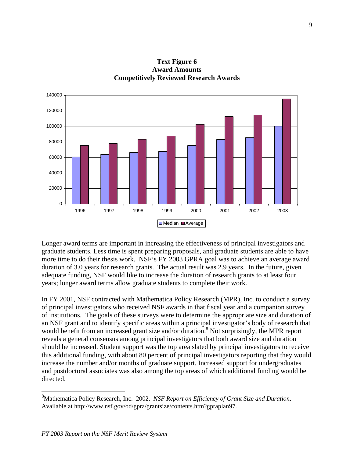

**Text Figure 6 Award Amounts Competitively Reviewed Research Awards**

Longer award terms are important in increasing the effectiveness of principal investigators and graduate students. Less time is spent preparing proposals, and graduate students are able to have more time to do their thesis work. NSF's FY 2003 GPRA goal was to achieve an average award duration of 3.0 years for research grants. The actual result was 2.9 years. In the future, given adequate funding, NSF would like to increase the duration of research grants to at least four years; longer award terms allow graduate students to complete their work.

In FY 2001, NSF contracted with Mathematica Policy Research (MPR), Inc. to conduct a survey of principal investigators who received NSF awards in that fiscal year and a companion survey of institutions. The goals of these surveys were to determine the appropriate size and duration of an NSF grant and to identify specific areas within a principal investigator's body of research that would benefit from an increased grant size and/or duration.<sup>8</sup> Not surprisingly, the MPR report reveals a general consensus among principal investigators that both award size and duration should be increased. Student support was the top area slated by principal investigators to receive this additional funding, with about 80 percent of principal investigators reporting that they would increase the number and/or months of graduate support. Increased support for undergraduates and postdoctoral associates was also among the top areas of which additional funding would be directed.

 $\overline{a}$ 

<span id="page-8-0"></span><sup>8</sup> Mathematica Policy Research, Inc. 2002. *NSF Report on Efficiency of Grant Size and Duration*. Available at http://www.nsf.gov/od/gpra/grantsize/contents.htm?gpraplan97.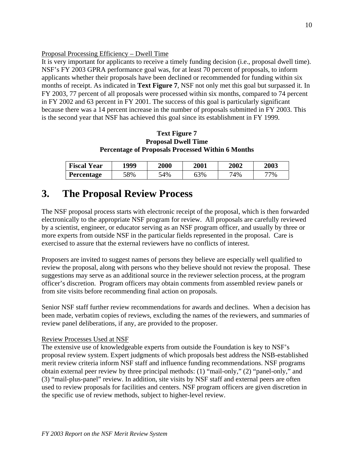#### Proposal Processing Efficiency – Dwell Time

It is very important for applicants to receive a timely funding decision (i.e., proposal dwell time). NSF's FY 2003 GPRA performance goal was, for at least 70 percent of proposals, to inform applicants whether their proposals have been declined or recommended for funding within six months of receipt. As indicated in **Text Figure 7**, NSF not only met this goal but surpassed it. In FY 2003, 77 percent of all proposals were processed within six months, compared to 74 percent in FY 2002 and 63 percent in FY 2001. The success of this goal is particularly significant because there was a 14 percent increase in the number of proposals submitted in FY 2003. This is the second year that NSF has achieved this goal since its establishment in FY 1999.

#### **Text Figure 7 Proposal Dwell Time Percentage of Proposals Processed Within 6 Months**

| <b>Fiscal Year</b> | 1999 |     | <b>2000</b><br>2001 |     | 2003 |
|--------------------|------|-----|---------------------|-----|------|
| <b>Percentage</b>  | 58%  | 54% | 63%                 | 74% | 77%  |

# **3. The Proposal Review Process**

The NSF proposal process starts with electronic receipt of the proposal, which is then forwarded electronically to the appropriate NSF program for review. All proposals are carefully reviewed by a scientist, engineer, or educator serving as an NSF program officer, and usually by three or more experts from outside NSF in the particular fields represented in the proposal. Care is exercised to assure that the external reviewers have no conflicts of interest.

Proposers are invited to suggest names of persons they believe are especially well qualified to review the proposal, along with persons who they believe should not review the proposal. These suggestions may serve as an additional source in the reviewer selection process, at the program officer's discretion. Program officers may obtain comments from assembled review panels or from site visits before recommending final action on proposals.

Senior NSF staff further review recommendations for awards and declines. When a decision has been made, verbatim copies of reviews, excluding the names of the reviewers, and summaries of review panel deliberations, if any, are provided to the proposer.

#### Review Processes Used at NSF

The extensive use of knowledgeable experts from outside the Foundation is key to NSF's proposal review system. Expert judgments of which proposals best address the NSB-established merit review criteria inform NSF staff and influence funding recommendations. NSF programs obtain external peer review by three principal methods: (1) "mail-only," (2) "panel-only," and (3) "mail-plus-panel" review. In addition, site visits by NSF staff and external peers are often used to review proposals for facilities and centers. NSF program officers are given discretion in the specific use of review methods, subject to higher-level review.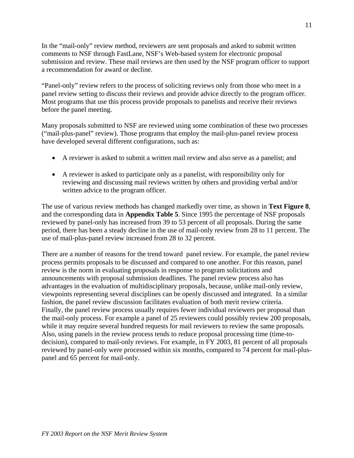In the "mail-only" review method, reviewers are sent proposals and asked to submit written comments to NSF through FastLane, NSF's Web-based system for electronic proposal submission and review. These mail reviews are then used by the NSF program officer to support a recommendation for award or decline.

"Panel-only" review refers to the process of soliciting reviews only from those who meet in a panel review setting to discuss their reviews and provide advice directly to the program officer. Most programs that use this process provide proposals to panelists and receive their reviews before the panel meeting.

Many proposals submitted to NSF are reviewed using some combination of these two processes ("mail-plus-panel" review). Those programs that employ the mail-plus-panel review process have developed several different configurations, such as:

- A reviewer is asked to submit a written mail review and also serve as a panelist; and
- A reviewer is asked to participate only as a panelist, with responsibility only for reviewing and discussing mail reviews written by others and providing verbal and/or written advice to the program officer.

The use of various review methods has changed markedly over time, as shown in **Text Figure 8**, and the corresponding data in **Appendix Table 5**. Since 1995 the percentage of NSF proposals reviewed by panel-only has increased from 39 to 53 percent of all proposals. During the same period, there has been a steady decline in the use of mail-only review from 28 to 11 percent. The use of mail-plus-panel review increased from 28 to 32 percent.

There are a number of reasons for the trend toward panel review. For example, the panel review process permits proposals to be discussed and compared to one another. For this reason, panel review is the norm in evaluating proposals in response to program solicitations and announcements with proposal submission deadlines. The panel review process also has advantages in the evaluation of multidisciplinary proposals, because, unlike mail-only review, viewpoints representing several disciplines can be openly discussed and integrated. In a similar fashion, the panel review discussion facilitates evaluation of both merit review criteria. Finally, the panel review process usually requires fewer individual reviewers per proposal than the mail-only process. For example a panel of 25 reviewers could possibly review 200 proposals, while it may require several hundred requests for mail reviewers to review the same proposals. Also, using panels in the review process tends to reduce proposal processing time (time-todecision), compared to mail-only reviews. For example, in FY 2003, 81 percent of all proposals reviewed by panel-only were processed within six months, compared to 74 percent for mail-pluspanel and 65 percent for mail-only.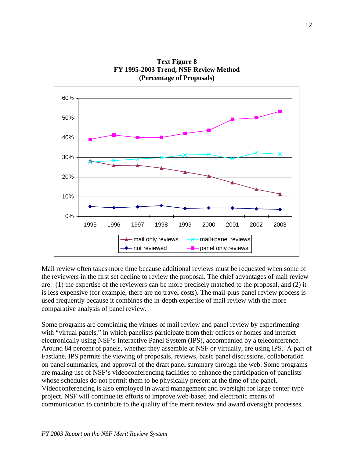

**Text Figure 8 FY 1995-2003 Trend, NSF Review Method (Percentage of Proposals)** 

Mail review often takes more time because additional reviews must be requested when some of the reviewers in the first set decline to review the proposal. The chief advantages of mail review are: (1) the expertise of the reviewers can be more precisely matched to the proposal, and (2) it is less expensive (for example, there are no travel costs). The mail-plus-panel review process is used frequently because it combines the in-depth expertise of mail review with the more comparative analysis of panel review.

Some programs are combining the virtues of mail review and panel review by experimenting with "virtual panels," in which panelists participate from their offices or homes and interact electronically using NSF's Interactive Panel System (IPS), accompanied by a teleconference. Around 84 percent of panels, whether they assemble at NSF or virtually, are using IPS. A part of Fastlane, IPS permits the viewing of proposals, reviews, basic panel discussions, collaboration on panel summaries, and approval of the draft panel summary through the web. Some programs are making use of NSF's videoconferencing facilities to enhance the participation of panelists whose schedules do not permit them to be physically present at the time of the panel. Videoconferencing is also employed in award management and oversight for large center-type project. NSF will continue its efforts to improve web-based and electronic means of communication to contribute to the quality of the merit review and award oversight processes.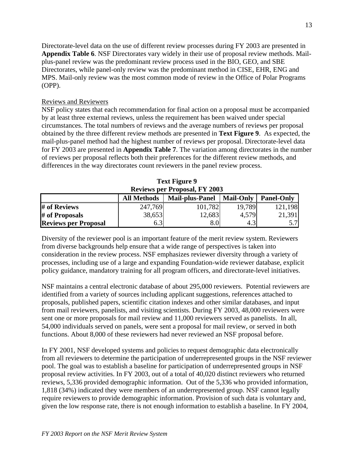Directorate-level data on the use of different review processes during FY 2003 are presented in **Appendix Table 6**. NSF Directorates vary widely in their use of proposal review methods. Mailplus-panel review was the predominant review process used in the BIO, GEO, and SBE Directorates, while panel-only review was the predominant method in CISE, EHR, ENG and MPS. Mail-only review was the most common mode of review in the Office of Polar Programs (OPP).

#### Reviews and Reviewers

NSF policy states that each recommendation for final action on a proposal must be accompanied by at least three external reviews, unless the requirement has been waived under special circumstances. The total numbers of reviews and the average numbers of reviews per proposal obtained by the three different review methods are presented in **Text Figure 9**. As expected, the mail-plus-panel method had the highest number of reviews per proposal. Directorate-level data for FY 2003 are presented in **Appendix Table 7**. The variation among directorates in the number of reviews per proposal reflects both their preferences for the different review methods, and differences in the way directorates count reviewers in the panel review process.

| <b>Reviews per Proposal, FY 2003</b> |                                                                                       |         |        |         |  |  |  |  |  |  |
|--------------------------------------|---------------------------------------------------------------------------------------|---------|--------|---------|--|--|--|--|--|--|
|                                      | <b>Mail-Only</b><br><b>Mail-plus-Panel</b><br><b>Panel-Only</b><br><b>All Methods</b> |         |        |         |  |  |  |  |  |  |
| # of Reviews                         | 247,769                                                                               | 101,782 | 19.789 | 121,198 |  |  |  |  |  |  |
| # of Proposals                       | 38,653                                                                                | 12,683  | 4,579  | 21,391  |  |  |  |  |  |  |
| <b>Reviews per Proposal</b>          | 6.3                                                                                   | 8.0     | 4.3    | 5.7     |  |  |  |  |  |  |

| <b>Text Figure 9</b>                 |  |
|--------------------------------------|--|
| <b>Reviews per Proposal, FY 2003</b> |  |

Diversity of the reviewer pool is an important feature of the merit review system. Reviewers from diverse backgrounds help ensure that a wide range of perspectives is taken into consideration in the review process. NSF emphasizes reviewer diversity through a variety of processes, including use of a large and expanding Foundation-wide reviewer database, explicit policy guidance, mandatory training for all program officers, and directorate-level initiatives.

NSF maintains a central electronic database of about 295,000 reviewers. Potential reviewers are identified from a variety of sources including applicant suggestions, references attached to proposals, published papers, scientific citation indexes and other similar databases, and input from mail reviewers, panelists, and visiting scientists. During FY 2003, 48,000 reviewers were sent one or more proposals for mail review and 11,000 reviewers served as panelists. In all, 54,000 individuals served on panels, were sent a proposal for mail review, or served in both functions. About 8,000 of these reviewers had never reviewed an NSF proposal before.

In FY 2001, NSF developed systems and policies to request demographic data electronically from all reviewers to determine the participation of underrepresented groups in the NSF reviewer pool. The goal was to establish a baseline for participation of underrepresented groups in NSF proposal review activities. In FY 2003, out of a total of 40,020 distinct reviewers who returned reviews, 5,336 provided demographic information. Out of the 5,336 who provided information, 1,818 (34%) indicated they were members of an underrepresented group. NSF cannot legally require reviewers to provide demographic information. Provision of such data is voluntary and, given the low response rate, there is not enough information to establish a baseline. In FY 2004,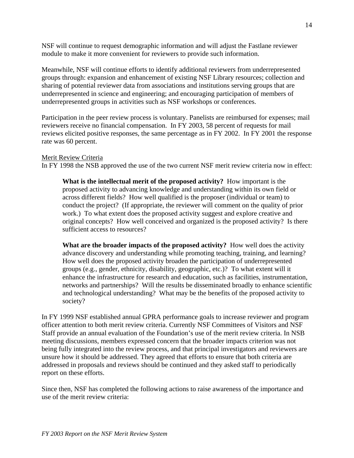NSF will continue to request demographic information and will adjust the Fastlane reviewer module to make it more convenient for reviewers to provide such information.

Meanwhile, NSF will continue efforts to identify additional reviewers from underrepresented groups through: expansion and enhancement of existing NSF Library resources; collection and sharing of potential reviewer data from associations and institutions serving groups that are underrepresented in science and engineering; and encouraging participation of members of underrepresented groups in activities such as NSF workshops or conferences.

Participation in the peer review process is voluntary. Panelists are reimbursed for expenses; mail reviewers receive no financial compensation. In FY 2003, 58 percent of requests for mail reviews elicited positive responses, the same percentage as in FY 2002. In FY 2001 the response rate was 60 percent.

#### Merit Review Criteria

In FY 1998 the NSB approved the use of the two current NSF merit review criteria now in effect:

**What is the intellectual merit of the proposed activity?** How important is the proposed activity to advancing knowledge and understanding within its own field or across different fields? How well qualified is the proposer (individual or team) to conduct the project? (If appropriate, the reviewer will comment on the quality of prior work.) To what extent does the proposed activity suggest and explore creative and original concepts? How well conceived and organized is the proposed activity? Is there sufficient access to resources?

**What are the broader impacts of the proposed activity?** How well does the activity advance discovery and understanding while promoting teaching, training, and learning? How well does the proposed activity broaden the participation of underrepresented groups (e.g., gender, ethnicity, disability, geographic, etc.)? To what extent will it enhance the infrastructure for research and education, such as facilities, instrumentation, networks and partnerships? Will the results be disseminated broadly to enhance scientific and technological understanding? What may be the benefits of the proposed activity to society?

In FY 1999 NSF established annual GPRA performance goals to increase reviewer and program officer attention to both merit review criteria. Currently NSF Committees of Visitors and NSF Staff provide an annual evaluation of the Foundation's use of the merit review criteria. In NSB meeting discussions, members expressed concern that the broader impacts criterion was not being fully integrated into the review process, and that principal investigators and reviewers are unsure how it should be addressed. They agreed that efforts to ensure that both criteria are addressed in proposals and reviews should be continued and they asked staff to periodically report on these efforts.

Since then, NSF has completed the following actions to raise awareness of the importance and use of the merit review criteria: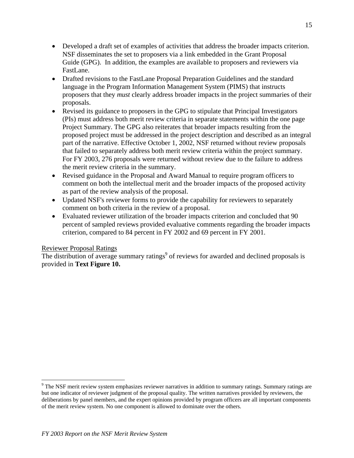- Developed a draft set of examples of activities that address the broader impacts criterion. NSF disseminates the set to proposers via a link embedded in the Grant Proposal Guide (GPG). In addition, the examples are available to proposers and reviewers via FastLane.
- Drafted revisions to the FastLane Proposal Preparation Guidelines and the standard language in the Program Information Management System (PIMS) that instructs proposers that they *must* clearly address broader impacts in the project summaries of their proposals.
- Revised its guidance to proposers in the GPG to stipulate that Principal Investigators (PIs) must address both merit review criteria in separate statements within the one page Project Summary. The GPG also reiterates that broader impacts resulting from the proposed project must be addressed in the project description and described as an integral part of the narrative. Effective October 1, 2002, NSF returned without review proposals that failed to separately address both merit review criteria within the project summary. For FY 2003, 276 proposals were returned without review due to the failure to address the merit review criteria in the summary.
- Revised guidance in the Proposal and Award Manual to require program officers to comment on both the intellectual merit and the broader impacts of the proposed activity as part of the review analysis of the proposal.
- Updated NSF's reviewer forms to provide the capability for reviewers to separately comment on both criteria in the review of a proposal.
- Evaluated reviewer utilization of the broader impacts criterion and concluded that 90 percent of sampled reviews provided evaluative comments regarding the broader impacts criterion, compared to 84 percent in FY 2002 and 69 percent in FY 2001.

#### Reviewer Proposal Ratings

 $\overline{a}$ 

The distribution of average summary ratings<sup>[9](#page-14-0)</sup> of reviews for awarded and declined proposals is provided in **Text Figure 10.** 

<span id="page-14-0"></span><sup>&</sup>lt;sup>9</sup> The NSF merit review system emphasizes reviewer narratives in addition to summary ratings. Summary ratings are but one indicator of reviewer judgment of the proposal quality. The written narratives provided by reviewers, the deliberations by panel members, and the expert opinions provided by program officers are all important components of the merit review system. No one component is allowed to dominate over the others.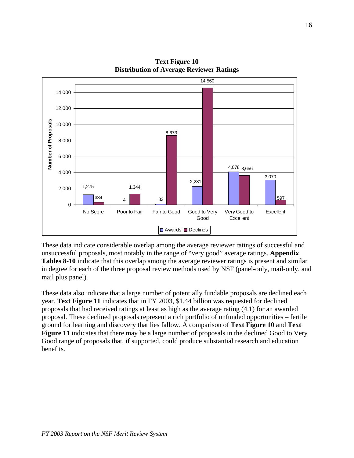

**Text Figure 10 Distribution of Average Reviewer Ratings** 

These data indicate considerable overlap among the average reviewer ratings of successful and unsuccessful proposals, most notably in the range of "very good" average ratings. **Appendix Tables 8-10** indicate that this overlap among the average reviewer ratings is present and similar in degree for each of the three proposal review methods used by NSF (panel-only, mail-only, and mail plus panel).

These data also indicate that a large number of potentially fundable proposals are declined each year. **Text Figure 11** indicates that in FY 2003, \$1.44 billion was requested for declined proposals that had received ratings at least as high as the average rating (4.1) for an awarded proposal. These declined proposals represent a rich portfolio of unfunded opportunities – fertile ground for learning and discovery that lies fallow. A comparison of **Text Figure 10** and **Text**  Figure 11 indicates that there may be a large number of proposals in the declined Good to Very Good range of proposals that, if supported, could produce substantial research and education benefits.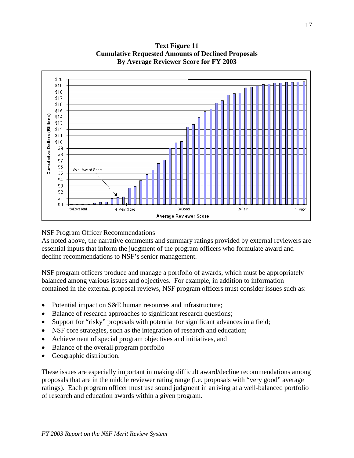

**Text Figure 11 Cumulative Requested Amounts of Declined Proposals By Average Reviewer Score for FY 2003** 

#### NSF Program Officer Recommendations

As noted above, the narrative comments and summary ratings provided by external reviewers are essential inputs that inform the judgment of the program officers who formulate award and decline recommendations to NSF's senior management.

NSF program officers produce and manage a portfolio of awards, which must be appropriately balanced among various issues and objectives. For example, in addition to information contained in the external proposal reviews, NSF program officers must consider issues such as:

- Potential impact on S&E human resources and infrastructure;
- Balance of research approaches to significant research questions;
- Support for "risky" proposals with potential for significant advances in a field;
- NSF core strategies, such as the integration of research and education;
- Achievement of special program objectives and initiatives, and
- Balance of the overall program portfolio
- Geographic distribution.

These issues are especially important in making difficult award/decline recommendations among proposals that are in the middle reviewer rating range (i.e. proposals with "very good" average ratings). Each program officer must use sound judgment in arriving at a well-balanced portfolio of research and education awards within a given program.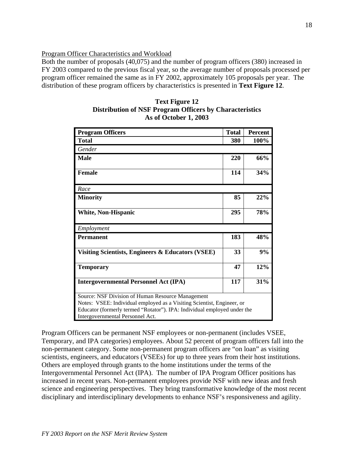Program Officer Characteristics and Workload

Both the number of proposals (40,075) and the number of program officers (380) increased in FY 2003 compared to the previous fiscal year, so the average number of proposals processed per program officer remained the same as in FY 2002, approximately 105 proposals per year. The distribution of these program officers by characteristics is presented in **Text Figure 12**.

| <b>Program Officers</b>                                                                                                                                                                                                                     | <b>Total</b> | <b>Percent</b> |
|---------------------------------------------------------------------------------------------------------------------------------------------------------------------------------------------------------------------------------------------|--------------|----------------|
| <b>Total</b>                                                                                                                                                                                                                                | 380          | 100%           |
| Gender                                                                                                                                                                                                                                      |              |                |
| <b>Male</b>                                                                                                                                                                                                                                 | 220          | 66%            |
| <b>Female</b>                                                                                                                                                                                                                               | 114          | 34%            |
| Race                                                                                                                                                                                                                                        |              |                |
| <b>Minority</b>                                                                                                                                                                                                                             | 85           | 22%            |
| <b>White, Non-Hispanic</b>                                                                                                                                                                                                                  | 295          | 78%            |
| Employment                                                                                                                                                                                                                                  |              |                |
| <b>Permanent</b>                                                                                                                                                                                                                            | 183          | 48%            |
| Visiting Scientists, Engineers & Educators (VSEE)                                                                                                                                                                                           | 33           | 9%             |
| <b>Temporary</b>                                                                                                                                                                                                                            | 47           | 12%            |
| <b>Intergovernmental Personnel Act (IPA)</b>                                                                                                                                                                                                | 117          | 31%            |
| Source: NSF Division of Human Resource Management<br>Notes: VSEE: Individual employed as a Visiting Scientist, Engineer, or<br>Educator (formerly termed "Rotator"). IPA: Individual employed under the<br>Intergovernmental Personnel Act. |              |                |

| <b>Text Figure 12</b>                                          |
|----------------------------------------------------------------|
| <b>Distribution of NSF Program Officers by Characteristics</b> |
| As of October 1, 2003                                          |

Program Officers can be permanent NSF employees or non-permanent (includes VSEE, Temporary, and IPA categories) employees. About 52 percent of program officers fall into the non-permanent category. Some non-permanent program officers are "on loan" as visiting scientists, engineers, and educators (VSEEs) for up to three years from their host institutions. Others are employed through grants to the home institutions under the terms of the Intergovernmental Personnel Act (IPA). The number of IPA Program Officer positions has increased in recent years. Non-permanent employees provide NSF with new ideas and fresh science and engineering perspectives. They bring transformative knowledge of the most recent disciplinary and interdisciplinary developments to enhance NSF's responsiveness and agility.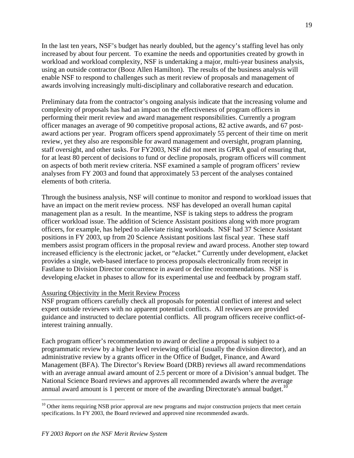In the last ten years, NSF's budget has nearly doubled, but the agency's staffing level has only increased by about four percent. To examine the needs and opportunities created by growth in workload and workload complexity, NSF is undertaking a major, multi-year business analysis, using an outside contractor (Booz Allen Hamilton). The results of the business analysis will enable NSF to respond to challenges such as merit review of proposals and management of awards involving increasingly multi-disciplinary and collaborative research and education.

Preliminary data from the contractor's ongoing analysis indicate that the increasing volume and complexity of proposals has had an impact on the effectiveness of program officers in performing their merit review and award management responsibilities. Currently a program officer manages an average of 90 competitive proposal actions, 82 active awards, and 67 postaward actions per year. Program officers spend approximately 55 percent of their time on merit review, yet they also are responsible for award management and oversight, program planning, staff oversight, and other tasks. For FY2003, NSF did not meet its GPRA goal of ensuring that, for at least 80 percent of decisions to fund or decline proposals, program officers will comment on aspects of both merit review criteria. NSF examined a sample of program officers' review analyses from FY 2003 and found that approximately 53 percent of the analyses contained elements of both criteria.

Through the business analysis, NSF will continue to monitor and respond to workload issues that have an impact on the merit review process. NSF has developed an overall human capital management plan as a result. In the meantime, NSF is taking steps to address the program officer workload issue. The addition of Science Assistant positions along with more program officers, for example, has helped to alleviate rising workloads. NSF had 37 Science Assistant positions in FY 2003, up from 20 Science Assistant positions last fiscal year. These staff members assist program officers in the proposal review and award process. Another step toward increased efficiency is the electronic jacket, or "eJacket." Currently under development, eJacket provides a single, web-based interface to process proposals electronically from receipt in Fastlane to Division Director concurrence in award or decline recommendations. NSF is developing eJacket in phases to allow for its experimental use and feedback by program staff.

#### Assuring Objectivity in the Merit Review Process

NSF program officers carefully check all proposals for potential conflict of interest and select expert outside reviewers with no apparent potential conflicts. All reviewers are provided guidance and instructed to declare potential conflicts. All program officers receive conflict-ofinterest training annually.

Each program officer's recommendation to award or decline a proposal is subject to a programmatic review by a higher level reviewing official (usually the division director), and an administrative review by a grants officer in the Office of Budget, Finance, and Award Management (BFA). The Director's Review Board (DRB) reviews all award recommendations with an average annual award amount of 2.5 percent or more of a Division's annual budget. The National Science Board reviews and approves all recommended awards where the average annual award amount is 1 percent or more of the awarding Directorate's annual budget.<sup>10</sup>

1

<span id="page-18-0"></span><sup>&</sup>lt;sup>10</sup> Other items requiring NSB prior approval are new programs and major construction projects that meet certain specifications. In FY 2003, the Board reviewed and approved nine recommended awards.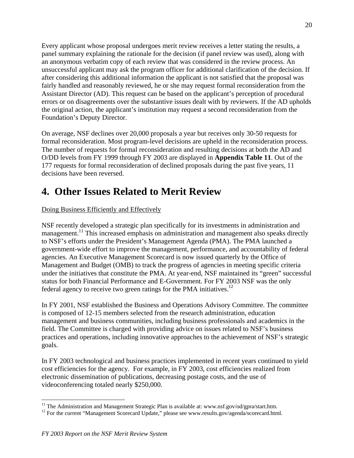Every applicant whose proposal undergoes merit review receives a letter stating the results, a panel summary explaining the rationale for the decision (if panel review was used), along with an anonymous verbatim copy of each review that was considered in the review process. An unsuccessful applicant may ask the program officer for additional clarification of the decision. If after considering this additional information the applicant is not satisfied that the proposal was fairly handled and reasonably reviewed, he or she may request formal reconsideration from the Assistant Director (AD). This request can be based on the applicant's perception of procedural errors or on disagreements over the substantive issues dealt with by reviewers. If the AD upholds the original action, the applicant's institution may request a second reconsideration from the Foundation's Deputy Director.

On average, NSF declines over 20,000 proposals a year but receives only 30-50 requests for formal reconsideration. Most program-level decisions are upheld in the reconsideration process. The number of requests for formal reconsideration and resulting decisions at both the AD and O/DD levels from FY 1999 through FY 2003 are displayed in **Appendix Table 11**. Out of the 177 requests for formal reconsideration of declined proposals during the past five years, 11 decisions have been reversed.

# **4. Other Issues Related to Merit Review**

Doing Business Efficiently and Effectively

NSF recently developed a strategic plan specifically for its investments in administration and management.<sup>11</sup> This increased emphasis on administration and management also speaks directly to NSF's efforts under the President's Management Agenda (PMA). The PMA launched a government-wide effort to improve the management, performance, and accountability of federal agencies. An Executive Management Scorecard is now issued quarterly by the Office of Management and Budget (OMB) to track the progress of agencies in meeting specific criteria under the initiatives that constitute the PMA. At year-end, NSF maintained its "green" successful status for both Financial Performance and E-Government. For FY 2003 NSF was the only federal agency to receive two green ratings for the PMA initiatives.<sup>[12](#page-19-1)</sup>

In FY 2001, NSF established the Business and Operations Advisory Committee. The committee is composed of 12-15 members selected from the research administration, education management and business communities, including business professionals and academics in the field. The Committee is charged with providing advice on issues related to NSF's business practices and operations, including innovative approaches to the achievement of NSF's strategic goals.

In FY 2003 technological and business practices implemented in recent years continued to yield cost efficiencies for the agency. For example, in FY 2003, cost efficiencies realized from electronic dissemination of publications, decreasing postage costs, and the use of videoconferencing totaled nearly \$250,000.

 $\overline{a}$ 

<span id="page-19-0"></span><sup>&</sup>lt;sup>11</sup> The Administration and Management Strategic Plan is available at: www.nsf.gov/od/gpra/start.htm.<br><sup>12</sup> For the current "Management Scorecard Update," please see www.results.gov/agenda/scorecard.html.

<span id="page-19-1"></span>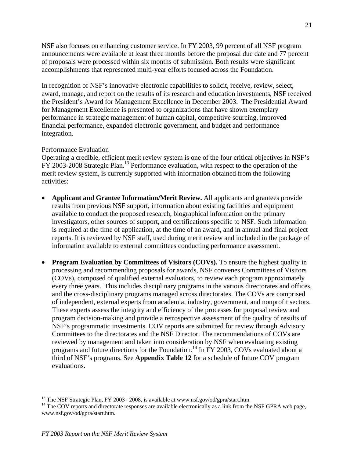NSF also focuses on enhancing customer service. In FY 2003, 99 percent of all NSF program announcements were available at least three months before the proposal due date and 77 percent of proposals were processed within six months of submission. Both results were significant accomplishments that represented multi-year efforts focused across the Foundation.

In recognition of NSF's innovative electronic capabilities to solicit, receive, review, select, award, manage, and report on the results of its research and education investments, NSF received the President's Award for Management Excellence in December 2003. The Presidential Award for Management Excellence is presented to organizations that have shown exemplary performance in strategic management of human capital, competitive sourcing, improved financial performance, expanded electronic government, and budget and performance integration.

#### Performance Evaluation

Operating a credible, efficient merit review system is one of the four critical objectives in NSF's FY 2003-2008 Strategic Plan[.13](#page-20-0) Performance evaluation, with respect to the operation of the merit review system, is currently supported with information obtained from the following activities:

- **Applicant and Grantee Information/Merit Review.** All applicants and grantees provide results from previous NSF support, information about existing facilities and equipment available to conduct the proposed research, biographical information on the primary investigators, other sources of support, and certifications specific to NSF. Such information is required at the time of application, at the time of an award, and in annual and final project reports. It is reviewed by NSF staff, used during merit review and included in the package of information available to external committees conducting performance assessment.
- **Program Evaluation by Committees of Visitors (COVs).** To ensure the highest quality in processing and recommending proposals for awards, NSF convenes Committees of Visitors (COVs), composed of qualified external evaluators, to review each program approximately every three years. This includes disciplinary programs in the various directorates and offices, and the cross-disciplinary programs managed across directorates. The COVs are comprised of independent, external experts from academia, industry, government, and nonprofit sectors. These experts assess the integrity and efficiency of the processes for proposal review and program decision-making and provide a retrospective assessment of the quality of results of NSF's programmatic investments. COV reports are submitted for review through Advisory Committees to the directorates and the NSF Director. The recommendations of COVs are reviewed by management and taken into consideration by NSF when evaluating existing programs and future directions for the Foundation.<sup>14</sup> In FY 2003, COVs evaluated about a third of NSF's programs. See **Appendix Table 12** for a schedule of future COV program evaluations.

<sup>1</sup> 

<span id="page-20-1"></span><span id="page-20-0"></span><sup>&</sup>lt;sup>13</sup> The NSF Strategic Plan, FY 2003 –2008, is available at www.nsf.gov/od/gpra/start.htm.<br><sup>14</sup> The COV reports and directorate responses are available electronically as a link from the NSF GPRA web page, www.nsf.gov/od/gpra/start.htm.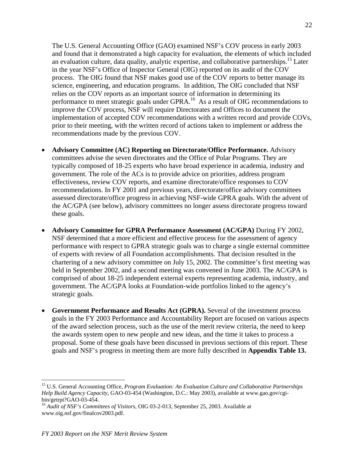The U.S. General Accounting Office (GAO) examined NSF's COV process in early 2003 and found that it demonstrated a high capacity for evaluation, the elements of which included an evaluation culture, data quality, analytic expertise, and collaborative partnerships.<sup>15</sup> Later in the year NSF's Office of Inspector General (OIG) reported on its audit of the COV process. The OIG found that NSF makes good use of the COV reports to better manage its science, engineering, and education programs. In addition, The OIG concluded that NSF relies on the COV reports as an important source of information in determining its performance to meet strategic goals under GPRA.<sup>16</sup> As a result of OIG recommendations to improve the COV process, NSF will require Directorates and Offices to document the implementation of accepted COV recommendations with a written record and provide COVs, prior to their meeting, with the written record of actions taken to implement or address the recommendations made by the previous COV.

- **Advisory Committee (AC) Reporting on Directorate/Office Performance.** Advisory committees advise the seven directorates and the Office of Polar Programs. They are typically composed of 18-25 experts who have broad experience in academia, industry and government. The role of the ACs is to provide advice on priorities, address program effectiveness, review COV reports, and examine directorate/office responses to COV recommendations. In FY 2001 and previous years, directorate/office advisory committees assessed directorate/office progress in achieving NSF-wide GPRA goals. With the advent of the AC/GPA (see below), advisory committees no longer assess directorate progress toward these goals.
- **Advisory Committee for GPRA Performance Assessment (AC/GPA)** During FY 2002, NSF determined that a more efficient and effective process for the assessment of agency performance with respect to GPRA strategic goals was to charge a single external committee of experts with review of all Foundation accomplishments. That decision resulted in the chartering of a new advisory committee on July 15, 2002. The committee's first meeting was held in September 2002, and a second meeting was convened in June 2003. The AC/GPA is comprised of about 18-25 independent external experts representing academia, industry, and government. The AC/GPA looks at Foundation-wide portfolios linked to the agency's strategic goals.
- **Government Performance and Results Act (GPRA).** Several of the investment process goals in the FY 2003 Performance and Accountability Report are focused on various aspects of the award selection process, such as the use of the merit review criteria, the need to keep the awards system open to new people and new ideas, and the time it takes to process a proposal. Some of these goals have been discussed in previous sections of this report. These goals and NSF's progress in meeting them are more fully described in **Appendix Table 13.**

 $\overline{a}$ 

<span id="page-21-0"></span><sup>15</sup> U.S. General Accounting Office, *Program Evaluation: An Evaluation Culture and Collaborative Partnerships Help Build Agency Capacity*, GAO-03-454 (Washington, D.C.: May 2003), available at www.gao.gov/cgi-

<span id="page-21-1"></span><sup>&</sup>lt;sup>16</sup> Audit of NSF's Committees of Visitors, OIG 03-2-013, September 25, 2003. Available at www.oig.nsf.gov/finalcov2003.pdf.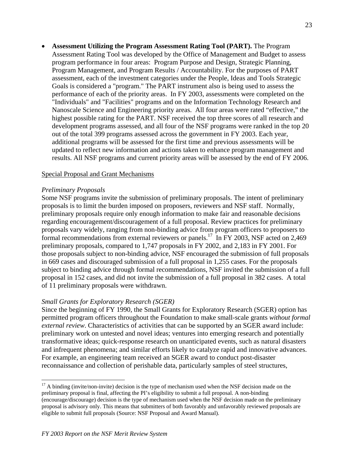• **Assessment Utilizing the Program Assessment Rating Tool (PART).** The Program Assessment Rating Tool was developed by the Office of Management and Budget to assess program performance in four areas: Program Purpose and Design, Strategic Planning, Program Management, and Program Results / Accountability. For the purposes of PART assessment, each of the investment categories under the People, Ideas and Tools Strategic Goals is considered a "program." The PART instrument also is being used to assess the performance of each of the priority areas. In FY 2003, assessments were completed on the "Individuals" and "Facilities" programs and on the Information Technology Research and Nanoscale Science and Engineering priority areas. All four areas were rated "effective," the highest possible rating for the PART. NSF received the top three scores of all research and development programs assessed, and all four of the NSF programs were ranked in the top 20 out of the total 399 programs assessed across the government in FY 2003. Each year, additional programs will be assessed for the first time and previous assessments will be updated to reflect new information and actions taken to enhance program management and results. All NSF programs and current priority areas will be assessed by the end of FY 2006.

#### Special Proposal and Grant Mechanisms

#### *Preliminary Proposals*

1

Some NSF programs invite the submission of preliminary proposals. The intent of preliminary proposals is to limit the burden imposed on proposers, reviewers and NSF staff. Normally, preliminary proposals require only enough information to make fair and reasonable decisions regarding encouragement/discouragement of a full proposal. Review practices for preliminary proposals vary widely, ranging from non-binding advice from program officers to proposers to formal recommendations from external reviewers or panels.<sup>17</sup> In FY 2003, NSF acted on 2,469 preliminary proposals, compared to 1,747 proposals in FY 2002, and 2,183 in FY 2001. For those proposals subject to non-binding advice, NSF encouraged the submission of full proposals in 669 cases and discouraged submission of a full proposal in 1,255 cases. For the proposals subject to binding advice through formal recommendations, NSF invited the submission of a full proposal in 152 cases, and did not invite the submission of a full proposal in 382 cases. A total of 11 preliminary proposals were withdrawn.

#### *Small Grants for Exploratory Research (SGER)*

Since the beginning of FY 1990, the Small Grants for Exploratory Research (SGER) option has permitted program officers throughout the Foundation to make small-scale grants *without formal external review*. Characteristics of activities that can be supported by an SGER award include: preliminary work on untested and novel ideas; ventures into emerging research and potentially transformative ideas; quick-response research on unanticipated events, such as natural disasters and infrequent phenomena; and similar efforts likely to catalyze rapid and innovative advances. For example, an engineering team received an SGER award to conduct post-disaster reconnaissance and collection of perishable data, particularly samples of steel structures,

<span id="page-22-0"></span> $17$  A binding (invite/non-invite) decision is the type of mechanism used when the NSF decision made on the preliminary proposal is final, affecting the PI's eligibility to submit a full proposal. A non-binding (encourage/discourage) decision is the type of mechanism used when the NSF decision made on the preliminary proposal is advisory only. This means that submitters of both favorably and unfavorably reviewed proposals are eligible to submit full proposals (Source: NSF Proposal and Award Manual).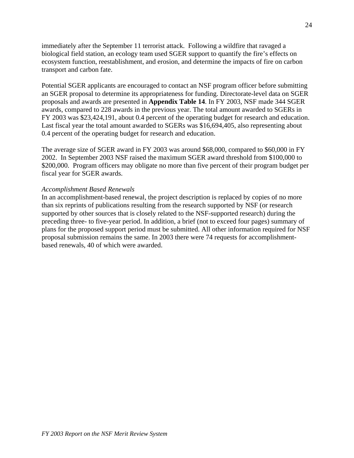immediately after the September 11 terrorist attack. Following a wildfire that ravaged a biological field station, an ecology team used SGER support to quantify the fire's effects on ecosystem function, reestablishment, and erosion, and determine the impacts of fire on carbon transport and carbon fate.

Potential SGER applicants are encouraged to contact an NSF program officer before submitting an SGER proposal to determine its appropriateness for funding. Directorate-level data on SGER proposals and awards are presented in **Appendix Table 14**. In FY 2003, NSF made 344 SGER awards, compared to 228 awards in the previous year. The total amount awarded to SGERs in FY 2003 was \$23,424,191, about 0.4 percent of the operating budget for research and education. Last fiscal year the total amount awarded to SGERs was \$16,694,405, also representing about 0.4 percent of the operating budget for research and education.

The average size of SGER award in FY 2003 was around \$68,000, compared to \$60,000 in FY 2002. In September 2003 NSF raised the maximum SGER award threshold from \$100,000 to \$200,000. Program officers may obligate no more than five percent of their program budget per fiscal year for SGER awards.

#### *Accomplishment Based Renewals*

In an accomplishment-based renewal, the project description is replaced by copies of no more than six reprints of publications resulting from the research supported by NSF (or research supported by other sources that is closely related to the NSF-supported research) during the preceding three- to five-year period. In addition, a brief (not to exceed four pages) summary of plans for the proposed support period must be submitted. All other information required for NSF proposal submission remains the same. In 2003 there were 74 requests for accomplishmentbased renewals, 40 of which were awarded.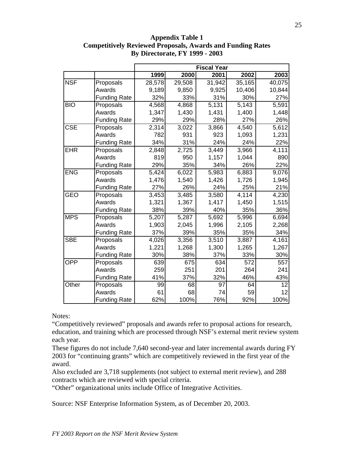|            |                     | <b>Fiscal Year</b> |        |                    |        |                    |  |
|------------|---------------------|--------------------|--------|--------------------|--------|--------------------|--|
|            |                     | 1999               | 2000   | 2001               | 2002   | 2003               |  |
| <b>NSF</b> | Proposals           | 28,578             | 29,508 | 31,942             | 35,165 | 40,075             |  |
|            | Awards              | 9,189              | 9,850  | 9,925              | 10,406 | 10,844             |  |
|            | <b>Funding Rate</b> | 32%                | 33%    | 31%                | 30%    | 27%                |  |
| <b>BIO</b> | Proposals           | 4,568              | 4,868  | 5,131              | 5,143  | 5,591              |  |
|            | Awards              | 1,347              | 1,430  | 1,431              | 1,400  | 1,448              |  |
|            | <b>Funding Rate</b> | 29%                | 29%    | 28%                | 27%    | 26%                |  |
| <b>CSE</b> | Proposals           | 2,314              | 3,022  | 3,866              | 4,540  | $\overline{5,612}$ |  |
|            | Awards              | 782                | 931    | 923                | 1,093  | 1,231              |  |
|            | <b>Funding Rate</b> | 34%                | 31%    | 24%                | 24%    | 22%                |  |
| <b>EHR</b> | Proposals           | 2,848              | 2,725  | $\overline{3,}449$ | 3,966  | 4,111              |  |
|            | Awards              | 819                | 950    | 1,157              | 1,044  | 890                |  |
|            | <b>Funding Rate</b> | 29%                | 35%    | 34%                | 26%    | 22%                |  |
| <b>ENG</b> | Proposals           | 5,424              | 6,022  | 5,983              | 6,883  | 9,076              |  |
|            | Awards              | 1,476              | 1,540  | 1,426              | 1,726  | 1,945              |  |
|            | <b>Funding Rate</b> | 27%                | 26%    | 24%                | 25%    | 21%                |  |
| <b>GEO</b> | Proposals           | 3,453              | 3,485  | 3,580              | 4,114  | 4,230              |  |
|            | Awards              | 1,321              | 1,367  | 1,417              | 1,450  | 1,515              |  |
|            | <b>Funding Rate</b> | 38%                | 39%    | 40%                | 35%    | 36%                |  |
| <b>MPS</b> | Proposals           | 5,207              | 5,287  | 5,692              | 5,996  | 6,694              |  |
|            | Awards              | 1,903              | 2,045  | 1,996              | 2,105  | 2,268              |  |
|            | <b>Funding Rate</b> | 37%                | 39%    | 35%                | 35%    | 34%                |  |
| <b>SBE</b> | Proposals           | 4,026              | 3,356  | 3,510              | 3,887  | 4,161              |  |
|            | Awards              | 1,221              | 1,268  | 1,300              | 1,265  | 1,267              |  |
|            | <b>Funding Rate</b> | 30%                | 38%    | 37%                | 33%    | 30%                |  |
| OPP        | Proposals           | 639                | 675    | 634                | 572    | 557                |  |
|            | Awards              | 259                | 251    | 201                | 264    | 241                |  |
|            | <b>Funding Rate</b> | 41%                | 37%    | 32%                | 46%    | 43%                |  |
| Other      | Proposals           | 99                 | 68     | 97                 | 64     | 12                 |  |
|            | Awards              | 61                 | 68     | 74                 | 59     | 12                 |  |
|            | <b>Funding Rate</b> | 62%                | 100%   | 76%                | 92%    | 100%               |  |

**Appendix Table 1 Competitively Reviewed Proposals, Awards and Funding Rates By Directorate, FY 1999 - 2003**

Notes:

"Competitively reviewed" proposals and awards refer to proposal actions for research, education, and training which are processed through NSF's external merit review system each year.

These figures do not include 7,640 second-year and later incremental awards during FY 2003 for "continuing grants" which are competitively reviewed in the first year of the award.

Also excluded are 3,718 supplements (not subject to external merit review), and 288 contracts which are reviewed with special criteria.

"Other" organizational units include Office of Integrative Activities.

Source: NSF Enterprise Information System, as of December 20, 2003.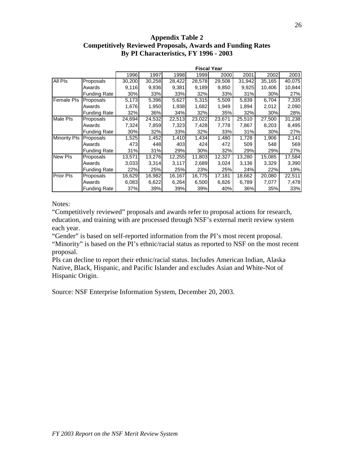#### **Appendix Table 2 Competitively Reviewed Proposals, Awards and Funding Rates By PI Characteristics, FY 1996 - 2003**

|                     |                     |        | <b>Fiscal Year</b> |        |        |        |        |        |        |
|---------------------|---------------------|--------|--------------------|--------|--------|--------|--------|--------|--------|
|                     |                     | 1996   | 1997               | 1998   | 1999   | 2000   | 2001   | 2002   | 2003   |
| <b>All Pls</b>      | Proposals           | 30,200 | 30,258             | 28,422 | 28,578 | 29,508 | 31,942 | 35,165 | 40,075 |
|                     | Awards              | 9,116  | 9,936              | 9,381  | 9,189  | 9,850  | 9,925  | 10,406 | 10,844 |
|                     | <b>Funding Rate</b> | 30%    | 33%                | 33%    | 32%    | 33%    | 31%    | 30%    | 27%    |
| <b>Female PIs</b>   | Proposals           | 5,173  | 5,396              | 5,627  | 5,315  | 5,509  | 5,839  | 6,704  | 7,335  |
|                     | Awards              | 1,676  | 1,950              | 1,938  | 1,682  | 1,949  | 1,894  | 2,012  | 2,090  |
|                     | <b>Funding Rate</b> | 32%    | 36%                | 34%    | 32%    | 35%    | 32%    | 30%    | 28%    |
| Male Pls            | Proposals           | 24,694 | 24,532             | 22,513 | 23,022 | 23,671 | 25,510 | 27,500 | 31,238 |
|                     | Awards              | 7,324  | 7,859              | 7,323  | 7,428  | 7,778  | 7,867  | 8,203  | 8,495  |
|                     | <b>Funding Rate</b> | 30%    | 32%                | 33%    | 32%    | 33%    | 31%    | 30%    | 27%    |
| <b>Minority PIs</b> | Proposals           | 1,525  | 1,452              | 1,410  | 1,434  | 1,480  | 1,728  | 1,906  | 2,141  |
|                     | Awards              | 473    | 448                | 403    | 424    | 472    | 509    | 548    | 569    |
|                     | <b>Funding Rate</b> | 31%    | 31%                | 29%    | 30%    | 32%    | 29%    | 29%    | 27%    |
| <b>New PIs</b>      | Proposals           | 13,571 | 13,276             | 12,255 | 11,803 | 12,327 | 13,280 | 15,085 | 17,584 |
|                     | Awards              | 3,033  | 3,314              | 3,117  | 2,689  | 3,024  | 3,136  | 3,329  | 3,390  |
|                     | <b>Funding Rate</b> | 22%    | 25%                | 25%    | 23%    | 25%    | 24%    | 22%    | 19%    |
| <b>Prior PIs</b>    | Proposals           | 16,629 | 16,982             | 16,167 | 16,775 | 17,181 | 18,662 | 20,080 | 22,511 |
|                     | Awards              | 6,083  | 6,622              | 6,264  | 6,500  | 6,826  | 6,789  | 7,077  | 7,478  |
|                     | <b>Funding Rate</b> | 37%    | 39%                | 39%    | 39%    | 40%    | 36%    | 35%    | 33%    |

Notes:

"Competitively reviewed" proposals and awards refer to proposal actions for research, education, and training with are processed through NSF's external merit review system each year.

"Gender" is based on self-reported information from the PI's most recent proposal. "Minority" is based on the PI's ethnic/racial status as reported to NSF on the most recent proposal.

PIs can decline to report their ethnic/racial status. Includes American Indian, Alaska Native, Black, Hispanic, and Pacific Islander and excludes Asian and White-Not of Hispanic Origin.

Source: NSF Enterprise Information System, December 20, 2003.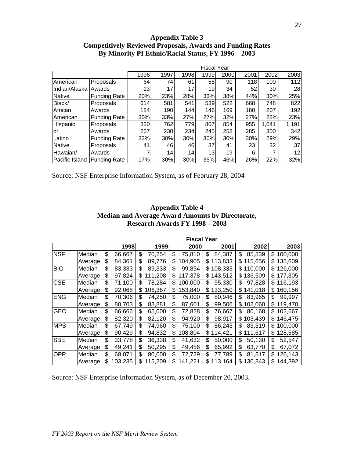#### **Appendix Table 3 Competitively Reviewed Proposals, Awards and Funding Rates By Minority PI Ethnic/Racial Status, FY 1996 – 2003**

|                |                     |      |      |      | <b>Fiscal Year</b> |      |      |       |       |
|----------------|---------------------|------|------|------|--------------------|------|------|-------|-------|
|                |                     | 1996 | 1997 | 1998 | 1999               | 2000 | 2001 | 2002  | 2003  |
| American       | Proposals           | 64   | 74   | 61   | 58I                | 90   | 118  | 100   | 112   |
| Indian/Alaska  | Awards              | 13   | 17   | 17I  | 19                 | 34   | 52   | 30    | 28    |
| <b>Native</b>  | <b>Funding Rate</b> | 20%  | 23%  | 28%  | 33%                | 38%  | 44%  | 30%   | 25%   |
| Black/         | Proposals           | 614  | 581  | 541  | 539                | 522  | 668  | 748   | 822   |
| African        | Awards              | 184  | 190  | 144  | 146                | 169  | 180  | 207   | 192   |
| IAmerican      | <b>Funding Rate</b> | 30%  | 33%  | 27%  | 27%                | 32%  | 27%  | 28%   | 23%   |
| Hispanic       | Proposals           | 820  | 762  | 779  | 807                | 854  | 955  | 1,041 | 1,191 |
| lor            | Awards              | 267  | 230  | 234  | 245                | 258  | 285  | 300   | 342   |
| Latino         | <b>Funding Rate</b> | 33%  | 30%  | 30%  | 30%                | 30%  | 30%  | 29%   | 29%   |
| <b>Native</b>  | Proposals           | 41   | 46   | 461  | 37I                | 41   | 23   | 32    | 37    |
| Hawaian/       | Awards              |      | 14   | 14   | 13 <sub>l</sub>    | 19   | 6    | 7     | 12    |
| Pacific Island | <b>Funding Rate</b> | 17%  | 30%  | 30%  | 35%                | 46%  | 26%  | 22%   | 32%   |

Source: NSF Enterprise Information System, as of February 28, 2004

#### **Appendix Table 4 Median and Average Award Amounts by Directorate, Research Awards FY 1998 – 2003**

|            |         |               |               | <b>Fiscal Year</b> |    |         |    |         |     |         |
|------------|---------|---------------|---------------|--------------------|----|---------|----|---------|-----|---------|
|            |         | 1998          | 1999          | 2000               |    | 2001    |    | 2002    |     | 2003    |
| <b>NSF</b> | Median  | \$<br>66,667  | \$<br>70,254  | \$<br>75,810       | \$ | 84,387  | \$ | 85,839  | \$  | 100,000 |
|            | Average | \$<br>84,361  | \$<br>89,776  | \$<br>104,905      | \$ | 113,833 | \$ | 115,656 | S   | 135,609 |
| <b>BIO</b> | Median  | \$<br>83,333  | \$<br>89,333  | \$<br>99,854       | \$ | 108,333 | S  | 110,000 | S.  | 126,000 |
|            | Average | \$<br>97,824  | \$<br>111,208 | \$<br>117,378      | \$ | 143,512 | \$ | 136,509 | S.  | 177,305 |
| <b>CSE</b> | Median  | \$<br>71,100  | \$<br>78,284  | \$<br>100,000      | \$ | 95,330  | \$ | 97,828  | \$. | 116,193 |
|            | Average | \$<br>92,068  | \$<br>106,367 | \$<br>153,840      | \$ | 133,250 | \$ | 141,018 | \$  | 160,156 |
| <b>ENG</b> | Median  | \$<br>70,306  | \$<br>74,250  | \$<br>75,000       | \$ | 80,946  | \$ | 83,965  | \$  | 99,997  |
|            | Average | \$<br>80,703  | \$<br>83,881  | \$<br>87,601       | \$ | 99,506  | \$ | 102,060 | \$  | 119,470 |
| <b>GEO</b> | Median  | \$<br>66,666  | \$<br>65,000  | \$<br>72,828       | \$ | 76,667  | \$ | 80,168  | \$  | 102,667 |
|            | Average | \$<br>82,320  | \$<br>82,120  | \$<br>94,920       | \$ | 98,917  | \$ | 103,439 | S.  | 146,475 |
| <b>MPS</b> | Median  | \$<br>67,749  | \$<br>74,960  | \$<br>75,100       | \$ | 86,243  | \$ | 83,319  | \$. | 100,000 |
|            | Average | \$<br>90,429  | \$<br>94,832  | \$<br>108,804      | \$ | 114,421 | \$ | 111,617 | S   | 128,585 |
| <b>SBE</b> | Median  | \$<br>33,778  | \$<br>36,338  | \$<br>41,632       | \$ | 50,000  | \$ | 50,130  | \$  | 52,547  |
|            | Average | \$<br>49,241  | \$<br>50,295  | \$<br>49,456       | S  | 65,992  | \$ | 63,770  | \$  | 67,072  |
| <b>OPP</b> | Median  | \$<br>68,071  | \$<br>80,000  | \$<br>72,729       | \$ | 77,789  | \$ | 81.517  | S   | 126,143 |
|            | Average | \$<br>103,235 | \$<br>115,209 | \$<br>141,221      | \$ | 113,164 | \$ | 30,343  | S   | 144,392 |

Source: NSF Enterprise Information System, as of December 20, 2003.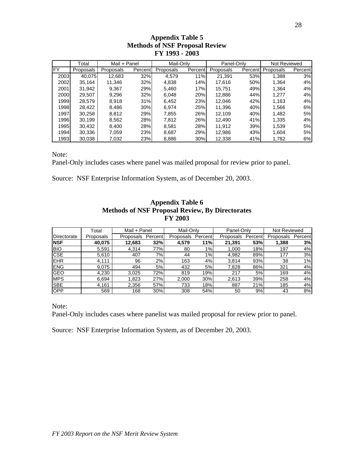# **Appendix Table 5 Methods of NSF Proposal Review FY 1993 - 2003**

|      | Total     | Mail + Panel |         | Mail-Only |                      | Panel-Only |         | Not Reviewed |         |
|------|-----------|--------------|---------|-----------|----------------------|------------|---------|--------------|---------|
| FY   | Proposals | Proposals    | Percent | Proposals | Percent <sup>®</sup> | Proposals  | Percent | Proposals    | Percent |
| 2003 | 40,075    | 12,683       | 32%     | 4,579     | 11%                  | 21,391     | 53%     | 1,388        | 3%      |
| 2002 | 35.164    | 11.346       | 32%     | 4,838     | 14%                  | 17.616     | 50%     | 1,364        | 4%      |
| 2001 | 31,942    | 9.367        | 29%     | 5.460     | 17%                  | 15.751     | 49%     | 1,364        | 4%      |
| 2000 | 29,507    | 9.296        | 32%     | 6,048     | 20%                  | 12,886     | 44%     | 1.277        | 4%      |
| 1999 | 28.579    | 8.918        | 31%     | 6,452     | 23%                  | 12.046     | 42%     | 1.163        | 4%      |
| 1998 | 28,422    | 8,486        | 30%     | 6.974     | 25%                  | 11.396     | 40%     | 1,566        | 6%      |
| 1997 | 30,258    | 8,812        | 29%     | 7,855     | 26%                  | 12,109     | 40%     | 1,482        | 5%      |
| 1996 | 30.199    | 8,562        | 28%     | 7.812     | 26%                  | 12.490     | 41%     | 1,335        | 4%      |
| 1995 | 30,432    | 8.400        | 28%     | 8,581     | 28%                  | 11.912     | 39%     | 1,539        | 5%      |
| 1994 | 30,336    | 7.059        | 23%     | 8.687     | 29%                  | 12.986     | 43%     | 1.604        | 5%      |
| 1993 | 30,038    | 7.032        | 23%     | 8,886     | 30%                  | 12,338     | 41%     | 1,782        | 6%      |

Note:

Panel-Only includes cases where panel was mailed proposal for review prior to panel.

Source: NSF Enterprise Information System, as of December 20, 2003.

|             | Total     | Mail + Panel |                      | Mail-Only |         | Panel-Only |         | Not Reviewed |         |
|-------------|-----------|--------------|----------------------|-----------|---------|------------|---------|--------------|---------|
| Directorate | Proposals | Proposals    | Percent <sup>1</sup> | Proposals | Percent | Proposals  | Percent | Proposals    | Percent |
| <b>NSF</b>  | 40,075    | 12,683       | 32%                  | 4,579     | 11%     | 21,391     | 53%     | 1,388        | 3%      |
| <b>BIO</b>  | 5,591     | 4,314        | 77%                  | 80        | 1%      | 1,000      | 18%l    | 197          | 4%      |
| <b>CSE</b>  | 5,610     | 407          | 7%                   | 44        | $1\%$   | 4,982      | 89%     | 177          | 3%      |
| <b>EHR</b>  | 4.111     | 96           | 2%                   | 163       | 4%      | 3,814      | 93%     | 38           | $1\%$   |
| <b>ENG</b>  | 9,075     | 494          | 5%                   | 432       | 5%      | 7,828      | 86%     | 321          | 4%      |
| <b>GEO</b>  | 4,230     | 3,025        | 72%                  | 819       | 19%     | 217        | 5%      | 169          | 4%      |
| <b>MPS</b>  | 6,694     | 1,823        | 27%                  | 2,000     | 30%     | 2,613      | 39%     | 258          | 4%      |
| <b>SBE</b>  | 4,161     | 2,356        | 57%                  | 733       | 18%     | 887        | 21%     | 185          | 4%      |
| <b>OPP</b>  | 569       | 168          | 30%                  | 308       | 54%     | 50         | 9%      | 43           | 8%      |

#### **Appendix Table 6 Methods of NSF Proposal Review, By Directorates FY 2003**

Note:

Panel-Only includes cases where panelist was mailed proposal for review prior to panel.

Source: NSF Enterprise Information System, as of December 20, 2003.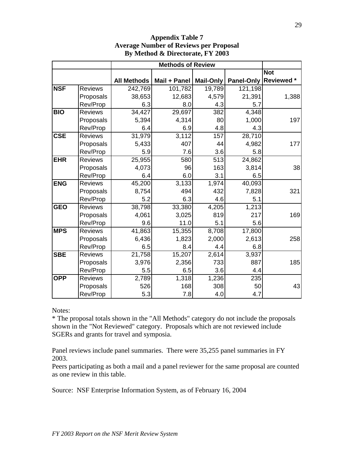|            |                |                    | <b>Methods of Review</b> |           |            |            |
|------------|----------------|--------------------|--------------------------|-----------|------------|------------|
|            |                |                    |                          |           |            | <b>Not</b> |
|            |                | <b>All Methods</b> | Mail + Panel             | Mail-Only | Panel-Only | Reviewed * |
| <b>NSF</b> | <b>Reviews</b> | 242,769            | 101,782                  | 19,789    | 121,198    |            |
|            | Proposals      | 38,653             | 12,683                   | 4,579     | 21,391     | 1,388      |
|            | Rev/Prop       | 6.3                | 8.0                      | 4.3       | 5.7        |            |
| <b>BIO</b> | <b>Reviews</b> | 34,427             | 29,697                   | 382       | 4,348      |            |
|            | Proposals      | 5,394              | 4,314                    | 80        | 1,000      | 197        |
|            | Rev/Prop       | 6.4                | 6.9                      | 4.8       | 4.3        |            |
| <b>CSE</b> | <b>Reviews</b> | 31,979             | 3,112                    | 157       | 28,710     |            |
|            | Proposals      | 5,433              | 407                      | 44        | 4,982      | 177        |
|            | Rev/Prop       | 5.9                | 7.6                      | 3.6       | 5.8        |            |
| <b>EHR</b> | <b>Reviews</b> | 25,955             | 580                      | 513       | 24,862     |            |
|            | Proposals      | 4,073              | 96                       | 163       | 3,814      | 38         |
|            | Rev/Prop       | 6.4                | 6.0                      | 3.1       | 6.5        |            |
| <b>ENG</b> | <b>Reviews</b> | 45,200             | 3,133                    | 1,974     | 40,093     |            |
|            | Proposals      | 8,754              | 494                      | 432       | 7,828      | 321        |
|            | Rev/Prop       | 5.2                | 6.3                      | 4.6       | 5.1        |            |
| <b>GEO</b> | <b>Reviews</b> | 38,798             | 33,380                   | 4,205     | 1,213      |            |
|            | Proposals      | 4,061              | 3,025                    | 819       | 217        | 169        |
|            | Rev/Prop       | 9.6                | 11.0                     | 5.1       | 5.6        |            |
| <b>MPS</b> | <b>Reviews</b> | 41,863             | 15,355                   | 8,708     | 17,800     |            |
|            | Proposals      | 6,436              | 1,823                    | 2,000     | 2,613      | 258        |
|            | Rev/Prop       | 6.5                | 8.4                      | 4.4       | 6.8        |            |
| <b>SBE</b> | <b>Reviews</b> | 21,758             | 15,207                   | 2,614     | 3,937      |            |
|            | Proposals      | 3,976              | 2,356                    | 733       | 887        | 185        |
|            | Rev/Prop       | 5.5                | 6.5                      | 3.6       | 4.4        |            |
| <b>OPP</b> | <b>Reviews</b> | 2,789              | 1,318                    | 1,236     | 235        |            |
|            | Proposals      | 526                | 168                      | 308       | 50         | 43         |
|            | Rev/Prop       | 5.3                | 7.8                      | 4.0       | 4.7        |            |

#### **Appendix Table 7 Average Number of Reviews per Proposal By Method & Directorate, FY 2003**

Notes:

\* The proposal totals shown in the "All Methods" category do not include the proposals shown in the "Not Reviewed" category. Proposals which are not reviewed include SGERs and grants for travel and symposia.

Panel reviews include panel summaries. There were 35,255 panel summaries in FY 2003.

Peers participating as both a mail and a panel reviewer for the same proposal are counted as one review in this table.

Source: NSF Enterprise Information System, as of February 16, 2004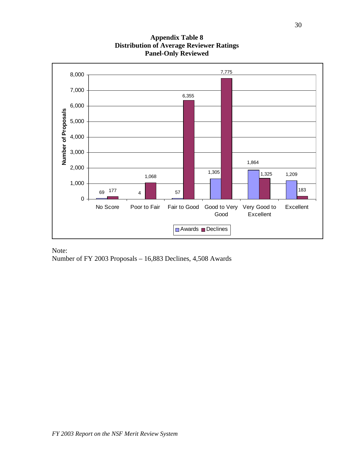

### **Appendix Table 8 Distribution of Average Reviewer Ratings Panel-Only Reviewed**

Note: Number of FY 2003 Proposals – 16,883 Declines, 4,508 Awards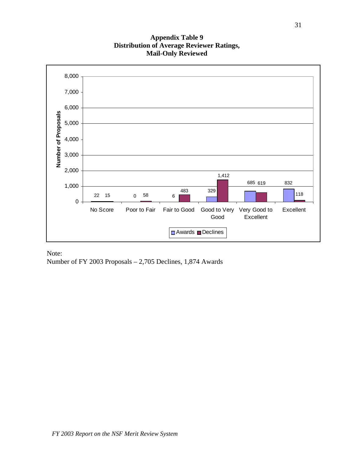#### **Appendix Table 9 Distribution of Average Reviewer Ratings, Mail-Only Reviewed**



Note: Number of FY 2003 Proposals – 2,705 Declines, 1,874 Awards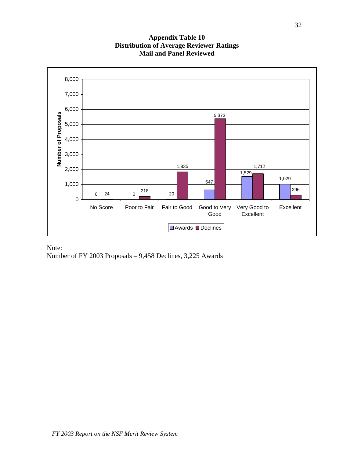

#### **Appendix Table 10 Distribution of Average Reviewer Ratings Mail and Panel Reviewed**

Note: Number of FY 2003 Proposals – 9,458 Declines, 3,225 Awards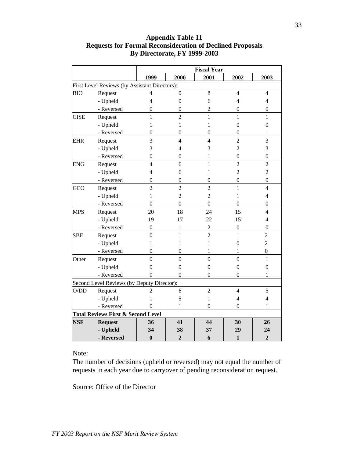|             |                                               |                  |                          | <b>Fiscal Year</b> |                  |                  |
|-------------|-----------------------------------------------|------------------|--------------------------|--------------------|------------------|------------------|
|             |                                               | 1999             | 2000                     | 2001               | 2002             | 2003             |
|             | First Level Reviews (by Assistant Directors): |                  |                          |                    |                  |                  |
| <b>BIO</b>  | Request                                       | $\overline{4}$   | $\boldsymbol{0}$         | $8\,$              | $\overline{4}$   | $\overline{4}$   |
|             | - Upheld                                      | $\overline{4}$   | $\overline{0}$           | 6                  | $\overline{4}$   | 4                |
|             | - Reversed                                    | $\mathbf{0}$     | $\boldsymbol{0}$         | $\overline{c}$     | $\mathbf{0}$     | $\mathbf{0}$     |
| <b>CISE</b> | Request                                       | $\mathbf{1}$     | $\overline{2}$           | $\mathbf{1}$       | $\mathbf{1}$     | 1                |
|             | - Upheld                                      | 1                | 1                        | 1                  | $\boldsymbol{0}$ | $\boldsymbol{0}$ |
|             | - Reversed                                    | 0                | $\boldsymbol{0}$         | 0                  | $\mathbf{0}$     | 1                |
| <b>EHR</b>  | Request                                       | 3                | $\overline{\mathcal{L}}$ | $\overline{4}$     | $\overline{2}$   | 3                |
|             | - Upheld                                      | 3                | 4                        | 3                  | $\overline{c}$   | 3                |
|             | - Reversed                                    | $\mathbf{0}$     | $\boldsymbol{0}$         | 1                  | $\overline{0}$   | $\mathbf{0}$     |
| <b>ENG</b>  | Request                                       | $\overline{4}$   | 6                        | $\mathbf{1}$       | $\overline{2}$   | $\overline{2}$   |
|             | - Upheld                                      | $\overline{4}$   | 6                        | 1                  | $\overline{2}$   | $\overline{c}$   |
|             | - Reversed                                    | $\boldsymbol{0}$ | $\boldsymbol{0}$         | $\boldsymbol{0}$   | $\boldsymbol{0}$ | $\overline{0}$   |
| <b>GEO</b>  | Request                                       | $\overline{2}$   | $\overline{2}$           | $\overline{c}$     | $\mathbf{1}$     | $\overline{4}$   |
|             | - Upheld                                      | 1                | $\overline{c}$           | $\overline{2}$     | 1                | 4                |
|             | - Reversed                                    | $\mathbf{0}$     | $\boldsymbol{0}$         | $\theta$           | $\theta$         | $\mathbf{0}$     |
| <b>MPS</b>  | Request                                       | 20               | 18                       | 24                 | 15               | $\overline{4}$   |
|             | - Upheld                                      | 19               | 17                       | 22                 | 15               | $\overline{4}$   |
|             | - Reversed                                    | $\overline{0}$   | 1                        | $\overline{2}$     | $\overline{0}$   | $\mathbf{0}$     |
| <b>SBE</b>  | Request                                       | $\overline{0}$   | $\mathbf{1}$             | $\overline{2}$     | $\mathbf{1}$     | $\overline{2}$   |
|             | - Upheld                                      | 1                | 1                        | 1                  | 0                | $\overline{2}$   |
|             | - Reversed                                    | 0                | $\boldsymbol{0}$         | 1                  | 1                | $\boldsymbol{0}$ |
| Other       | Request                                       | $\overline{0}$   | $\overline{0}$           | $\overline{0}$     | $\overline{0}$   | $\mathbf{1}$     |
|             | - Upheld                                      | $\theta$         | $\boldsymbol{0}$         | $\mathbf{0}$       | $\overline{0}$   | $\overline{0}$   |
|             | - Reversed                                    | 0                | 0                        | $\theta$           | 0                | 1                |
|             | Second Level Reviews (by Deputy Director):    |                  |                          |                    |                  |                  |
| O/DD        | Request                                       | 2                | 6                        | $\overline{2}$     | $\overline{4}$   | 5                |
|             | - Upheld                                      | 1                | 5                        | 1                  | $\overline{4}$   | $\overline{4}$   |
|             | - Reversed                                    | 0                | 1                        | 0                  | 0                | 1                |
|             | <b>Total Reviews First &amp; Second Level</b> |                  |                          |                    |                  |                  |
| <b>NSF</b>  | <b>Request</b>                                | 36               | 41                       | 44                 | 30               | 26               |
|             | - Upheld                                      | 34               | 38                       | 37                 | 29               | 24               |
|             | - Reversed                                    | $\bf{0}$         | $\overline{2}$           | 6                  | $\mathbf{1}$     | $\overline{2}$   |

### **Appendix Table 11 Requests for Formal Reconsideration of Declined Proposals By Directorate, FY 1999-2003**

Note:

The number of decisions (upheld or reversed) may not equal the number of requests in each year due to carryover of pending reconsideration request.

Source: Office of the Director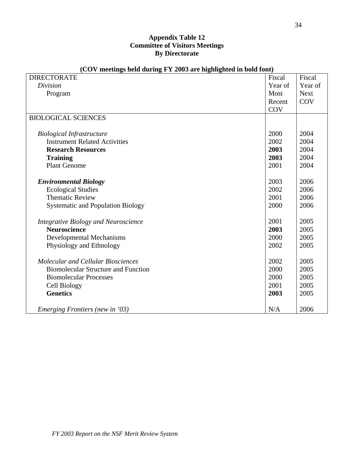#### **Appendix Table 12 Committee of Visitors Meetings By Directorate**

| <b>DIRECTORATE</b>                                                       | Fiscal  | Fiscal      |
|--------------------------------------------------------------------------|---------|-------------|
| <b>Division</b>                                                          | Year of | Year of     |
| Program                                                                  | Most    | <b>Next</b> |
|                                                                          | Recent  | <b>COV</b>  |
|                                                                          | COV     |             |
| <b>BIOLOGICAL SCIENCES</b>                                               |         |             |
|                                                                          | 2000    | 2004        |
| <b>Biological Infrastructure</b><br><b>Instrument Related Activities</b> |         |             |
|                                                                          | 2002    | 2004        |
| <b>Research Resources</b>                                                | 2003    | 2004        |
| <b>Training</b>                                                          | 2003    | 2004        |
| <b>Plant Genome</b>                                                      | 2001    | 2004        |
| <b>Environmental Biology</b>                                             | 2003    | 2006        |
| <b>Ecological Studies</b>                                                | 2002    | 2006        |
| <b>Thematic Review</b>                                                   | 2001    | 2006        |
| <b>Systematic and Population Biology</b>                                 | 2000    | 2006        |
|                                                                          |         |             |
| <b>Integrative Biology and Neuroscience</b>                              | 2001    | 2005        |
| <b>Neuroscience</b>                                                      | 2003    | 2005        |
| <b>Developmental Mechanisms</b>                                          | 2000    | 2005        |
| Physiology and Ethnology                                                 | 2002    | 2005        |
|                                                                          |         |             |
| <b>Molecular and Cellular Biosciences</b>                                | 2002    | 2005        |
| <b>Biomolecular Structure and Function</b>                               | 2000    | 2005        |
| <b>Biomolecular Processes</b>                                            | 2000    | 2005        |
| Cell Biology                                                             | 2001    | 2005        |
| <b>Genetics</b>                                                          | 2003    | 2005        |
|                                                                          |         |             |
| <i>Emerging Frontiers (new in '03)</i>                                   | N/A     | 2006        |

#### **(COV meetings held during FY 2003 are highlighted in bold font)**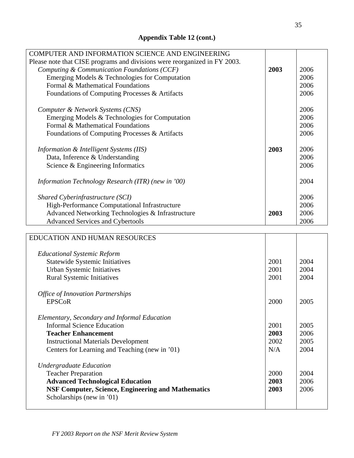| COMPUTER AND INFORMATION SCIENCE AND ENGINEERING                          |      |      |
|---------------------------------------------------------------------------|------|------|
| Please note that CISE programs and divisions were reorganized in FY 2003. |      |      |
| Computing & Communication Foundations (CCF)                               | 2003 | 2006 |
| Emerging Models & Technologies for Computation                            |      | 2006 |
| Formal & Mathematical Foundations                                         |      | 2006 |
| Foundations of Computing Processes & Artifacts                            |      | 2006 |
| Computer & Network Systems (CNS)                                          |      | 2006 |
| Emerging Models & Technologies for Computation                            |      | 2006 |
| Formal & Mathematical Foundations                                         |      | 2006 |
| Foundations of Computing Processes & Artifacts                            |      | 2006 |
| Information & Intelligent Systems (IIS)                                   | 2003 | 2006 |
| Data, Inference & Understanding                                           |      | 2006 |
| Science & Engineering Informatics                                         |      | 2006 |
| Information Technology Research (ITR) (new in '00)                        |      | 2004 |
| Shared Cyberinfrastructure (SCI)                                          |      | 2006 |
| High-Performance Computational Infrastructure                             |      | 2006 |
| Advanced Networking Technologies & Infrastructure                         | 2003 | 2006 |
| <b>Advanced Services and Cybertools</b>                                   |      | 2006 |
|                                                                           |      |      |
| <b>EDUCATION AND HUMAN RESOURCES</b>                                      |      |      |

| <b>Educational Systemic Reform</b>                        |      |      |
|-----------------------------------------------------------|------|------|
| <b>Statewide Systemic Initiatives</b>                     | 2001 | 2004 |
| Urban Systemic Initiatives                                | 2001 | 2004 |
| <b>Rural Systemic Initiatives</b>                         | 2001 | 2004 |
|                                                           |      |      |
| <b>Office of Innovation Partnerships</b>                  |      |      |
| <b>EPSCoR</b>                                             | 2000 | 2005 |
| Elementary, Secondary and Informal Education              |      |      |
| <b>Informal Science Education</b>                         |      |      |
|                                                           | 2001 | 2005 |
| <b>Teacher Enhancement</b>                                | 2003 | 2006 |
| <b>Instructional Materials Development</b>                | 2002 | 2005 |
| Centers for Learning and Teaching (new in '01)            | N/A  | 2004 |
| <b>Undergraduate Education</b>                            |      |      |
| <b>Teacher Preparation</b>                                | 2000 | 2004 |
| <b>Advanced Technological Education</b>                   | 2003 | 2006 |
| <b>NSF Computer, Science, Engineering and Mathematics</b> | 2003 | 2006 |
|                                                           |      |      |
| Scholarships (new in '01)                                 |      |      |
|                                                           |      |      |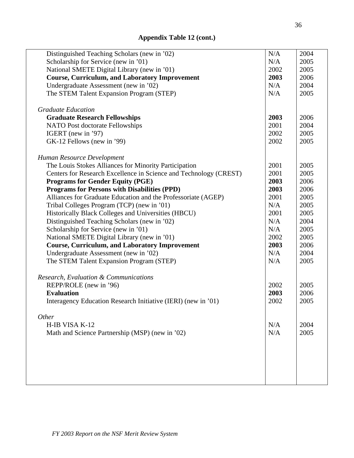| Distinguished Teaching Scholars (new in '02)                      | N/A  | 2004 |
|-------------------------------------------------------------------|------|------|
| Scholarship for Service (new in '01)                              | N/A  | 2005 |
| National SMETE Digital Library (new in '01)                       | 2002 | 2005 |
| <b>Course, Curriculum, and Laboratory Improvement</b>             | 2003 | 2006 |
| Undergraduate Assessment (new in '02)                             | N/A  | 2004 |
| The STEM Talent Expansion Program (STEP)                          | N/A  | 2005 |
|                                                                   |      |      |
| <b>Graduate Education</b>                                         |      |      |
| <b>Graduate Research Fellowships</b>                              | 2003 | 2006 |
| NATO Post doctorate Fellowships                                   | 2001 | 2004 |
| IGERT (new in '97)                                                | 2002 | 2005 |
| GK-12 Fellows (new in '99)                                        | 2002 | 2005 |
| Human Resource Development                                        |      |      |
| The Louis Stokes Alliances for Minority Participation             | 2001 | 2005 |
| Centers for Research Excellence in Science and Technology (CREST) | 2001 | 2005 |
| <b>Programs for Gender Equity (PGE)</b>                           | 2003 | 2006 |
| <b>Programs for Persons with Disabilities (PPD)</b>               | 2003 | 2006 |
| Alliances for Graduate Education and the Professoriate (AGEP)     | 2001 | 2005 |
| Tribal Colleges Program (TCP) (new in '01)                        | N/A  | 2005 |
| Historically Black Colleges and Universities (HBCU)               | 2001 | 2005 |
|                                                                   | N/A  | 2004 |
| Distinguished Teaching Scholars (new in '02)                      | N/A  |      |
| Scholarship for Service (new in '01)                              |      | 2005 |
| National SMETE Digital Library (new in '01)                       | 2002 | 2005 |
| <b>Course, Curriculum, and Laboratory Improvement</b>             | 2003 | 2006 |
| Undergraduate Assessment (new in '02)                             | N/A  | 2004 |
| The STEM Talent Expansion Program (STEP)                          | N/A  | 2005 |
| Research, Evaluation & Communications                             |      |      |
| REPP/ROLE (new in '96)                                            | 2002 | 2005 |
| <b>Evaluation</b>                                                 | 2003 | 2006 |
| Interagency Education Research Initiative (IERI) (new in '01)     | 2002 | 2005 |
| <b>Other</b>                                                      |      |      |
| H-IB VISA K-12                                                    | N/A  | 2004 |
| Math and Science Partnership (MSP) (new in '02)                   | N/A  | 2005 |
|                                                                   |      |      |
|                                                                   |      |      |
|                                                                   |      |      |
|                                                                   |      |      |
|                                                                   |      |      |
|                                                                   |      |      |
|                                                                   |      |      |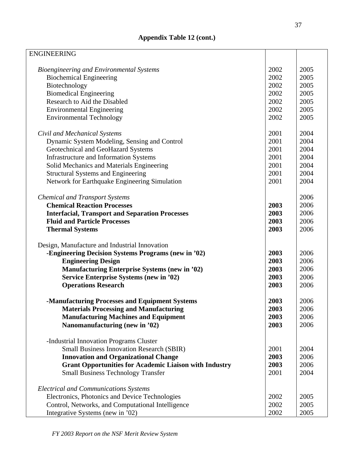| <b>ENGINEERING</b>                                            |      |      |
|---------------------------------------------------------------|------|------|
|                                                               |      |      |
| Bioengineering and Environmental Systems                      | 2002 | 2005 |
| <b>Biochemical Engineering</b>                                | 2002 | 2005 |
| Biotechnology                                                 | 2002 | 2005 |
| <b>Biomedical Engineering</b>                                 | 2002 | 2005 |
| Research to Aid the Disabled                                  | 2002 | 2005 |
| <b>Environmental Engineering</b>                              | 2002 | 2005 |
| <b>Environmental Technology</b>                               | 2002 | 2005 |
|                                                               |      |      |
| Civil and Mechanical Systems                                  | 2001 | 2004 |
| Dynamic System Modeling, Sensing and Control                  | 2001 | 2004 |
| Geotechnical and GeoHazard Systems                            | 2001 | 2004 |
| <b>Infrastructure and Information Systems</b>                 | 2001 | 2004 |
| Solid Mechanics and Materials Engineering                     | 2001 | 2004 |
| <b>Structural Systems and Engineering</b>                     | 2001 | 2004 |
| Network for Earthquake Engineering Simulation                 | 2001 | 2004 |
|                                                               |      |      |
| <b>Chemical and Transport Systems</b>                         |      | 2006 |
| <b>Chemical Reaction Processes</b>                            | 2003 | 2006 |
| <b>Interfacial, Transport and Separation Processes</b>        | 2003 | 2006 |
| <b>Fluid and Particle Processes</b>                           | 2003 | 2006 |
| <b>Thermal Systems</b>                                        | 2003 | 2006 |
|                                                               |      |      |
| Design, Manufacture and Industrial Innovation                 |      |      |
| -Engineering Decision Systems Programs (new in '02)           | 2003 | 2006 |
| <b>Engineering Design</b>                                     | 2003 | 2006 |
| <b>Manufacturing Enterprise Systems (new in '02)</b>          | 2003 | 2006 |
| Service Enterprise Systems (new in '02)                       | 2003 | 2006 |
| <b>Operations Research</b>                                    | 2003 | 2006 |
|                                                               |      |      |
| -Manufacturing Processes and Equipment Systems                | 2003 | 2006 |
| <b>Materials Processing and Manufacturing</b>                 | 2003 | 2006 |
| <b>Manufacturing Machines and Equipment</b>                   | 2003 | 2006 |
| Nanomanufacturing (new in '02)                                | 2003 | 2006 |
|                                                               |      |      |
| -Industrial Innovation Programs Cluster                       |      |      |
| <b>Small Business Innovation Research (SBIR)</b>              | 2001 | 2004 |
| <b>Innovation and Organizational Change</b>                   | 2003 | 2006 |
| <b>Grant Opportunities for Academic Liaison with Industry</b> | 2003 | 2006 |
| <b>Small Business Technology Transfer</b>                     | 2001 | 2004 |
|                                                               |      |      |
| <b>Electrical and Communications Systems</b>                  |      |      |
| Electronics, Photonics and Device Technologies                | 2002 | 2005 |
| Control, Networks, and Computational Intelligence             | 2002 | 2005 |
| Integrative Systems (new in '02)                              | 2002 | 2005 |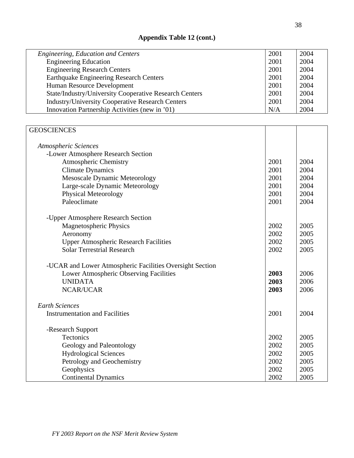| Engineering, Education and Centers                            | 2001 | 2004 |
|---------------------------------------------------------------|------|------|
| <b>Engineering Education</b>                                  | 2001 | 2004 |
| <b>Engineering Research Centers</b>                           | 2001 | 2004 |
| <b>Earthquake Engineering Research Centers</b>                | 2001 | 2004 |
| Human Resource Development                                    | 2001 | 2004 |
| <b>State/Industry/University Cooperative Research Centers</b> | 2001 | 2004 |
| <b>Industry/University Cooperative Research Centers</b>       | 2001 | 2004 |
| Innovation Partnership Activities (new in '01)                | N/A  | 2004 |

| <b>GEOSCIENCES</b>                                       |      |      |
|----------------------------------------------------------|------|------|
| <b>Atmospheric Sciences</b>                              |      |      |
| -Lower Atmosphere Research Section                       |      |      |
| Atmospheric Chemistry                                    | 2001 | 2004 |
| <b>Climate Dynamics</b>                                  | 2001 | 2004 |
| <b>Mesoscale Dynamic Meteorology</b>                     | 2001 | 2004 |
| Large-scale Dynamic Meteorology                          | 2001 | 2004 |
| Physical Meteorology                                     | 2001 | 2004 |
| Paleoclimate                                             | 2001 | 2004 |
| -Upper Atmosphere Research Section                       |      |      |
| <b>Magnetospheric Physics</b>                            | 2002 | 2005 |
| Aeronomy                                                 | 2002 | 2005 |
| <b>Upper Atmospheric Research Facilities</b><br>2002     |      | 2005 |
| <b>Solar Terrestrial Research</b><br>2002                |      | 2005 |
| -UCAR and Lower Atmospheric Facilities Oversight Section |      |      |
| Lower Atmospheric Observing Facilities                   | 2003 | 2006 |
| <b>UNIDATA</b>                                           | 2003 | 2006 |
| <b>NCAR/UCAR</b><br>2003                                 |      | 2006 |
| <b>Earth Sciences</b>                                    |      |      |
| <b>Instrumentation and Facilities</b>                    | 2001 | 2004 |
| -Research Support                                        |      |      |
| Tectonics                                                |      | 2005 |
| Geology and Paleontology                                 |      | 2005 |
| <b>Hydrological Sciences</b>                             |      | 2005 |
| Petrology and Geochemistry                               |      | 2005 |
| Geophysics                                               |      | 2005 |
| <b>Continental Dynamics</b>                              |      | 2005 |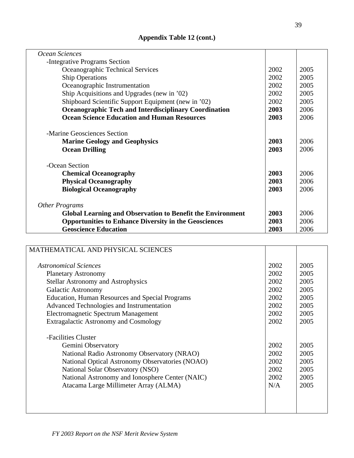| Ocean Sciences                                                    |              |      |
|-------------------------------------------------------------------|--------------|------|
| -Integrative Programs Section                                     |              |      |
| Oceanographic Technical Services                                  | 2002         | 2005 |
| <b>Ship Operations</b>                                            | 2002         | 2005 |
| Oceanographic Instrumentation                                     | 2002         | 2005 |
| Ship Acquisitions and Upgrades (new in '02)                       | 2002         | 2005 |
| Shipboard Scientific Support Equipment (new in '02)               | 2002         | 2005 |
| <b>Oceanographic Tech and Interdisciplinary Coordination</b>      | 2003         | 2006 |
| <b>Ocean Science Education and Human Resources</b>                | 2003         | 2006 |
| -Marine Geosciences Section                                       |              |      |
| <b>Marine Geology and Geophysics</b>                              | 2003         | 2006 |
| <b>Ocean Drilling</b>                                             |              | 2006 |
|                                                                   |              |      |
| -Ocean Section                                                    |              |      |
| <b>Chemical Oceanography</b>                                      | 2003<br>2003 | 2006 |
| <b>Physical Oceanography</b>                                      |              | 2006 |
| <b>Biological Oceanography</b>                                    | 2003         | 2006 |
| Other Programs                                                    |              |      |
| <b>Global Learning and Observation to Benefit the Environment</b> | 2003         | 2006 |
| <b>Opportunities to Enhance Diversity in the Geosciences</b>      |              | 2006 |
| <b>Geoscience Education</b>                                       | 2003         | 2006 |

| MATHEMATICAL AND PHYSICAL SCIENCES                     |      |      |
|--------------------------------------------------------|------|------|
|                                                        |      |      |
| <b>Astronomical Sciences</b>                           | 2002 | 2005 |
| <b>Planetary Astronomy</b>                             | 2002 | 2005 |
| <b>Stellar Astronomy and Astrophysics</b>              | 2002 | 2005 |
| <b>Galactic Astronomy</b>                              | 2002 | 2005 |
| <b>Education, Human Resources and Special Programs</b> | 2002 | 2005 |
| Advanced Technologies and Instrumentation              | 2002 | 2005 |
| Electromagnetic Spectrum Management                    | 2002 | 2005 |
| <b>Extragalactic Astronomy and Cosmology</b>           |      | 2005 |
|                                                        |      |      |
| -Facilities Cluster                                    |      |      |
| Gemini Observatory                                     | 2002 | 2005 |
| National Radio Astronomy Observatory (NRAO)            | 2002 | 2005 |
| National Optical Astronomy Observatories (NOAO)        | 2002 | 2005 |
| National Solar Observatory (NSO)                       | 2002 | 2005 |
| National Astronomy and Ionosphere Center (NAIC)        |      | 2005 |
| Atacama Large Millimeter Array (ALMA)                  | N/A  | 2005 |
|                                                        |      |      |
|                                                        |      |      |
|                                                        |      |      |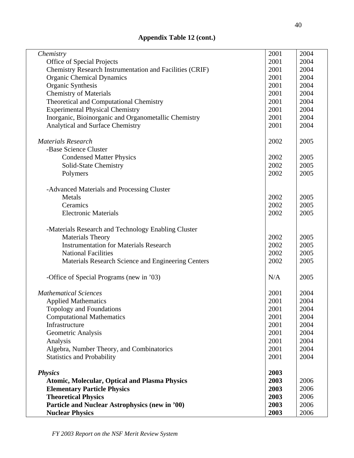| Chemistry                                                | 2001         | 2004 |
|----------------------------------------------------------|--------------|------|
| Office of Special Projects                               | 2001         | 2004 |
| Chemistry Research Instrumentation and Facilities (CRIF) |              | 2004 |
| <b>Organic Chemical Dynamics</b>                         | 2001<br>2001 | 2004 |
| Organic Synthesis                                        | 2001         | 2004 |
| <b>Chemistry of Materials</b>                            | 2001         | 2004 |
|                                                          |              |      |
| Theoretical and Computational Chemistry                  | 2001         | 2004 |
| <b>Experimental Physical Chemistry</b>                   | 2001         | 2004 |
| Inorganic, Bioinorganic and Organometallic Chemistry     | 2001         | 2004 |
| Analytical and Surface Chemistry                         | 2001         | 2004 |
| <b>Materials Research</b>                                | 2002         | 2005 |
| -Base Science Cluster                                    |              |      |
| <b>Condensed Matter Physics</b>                          | 2002         | 2005 |
| Solid-State Chemistry                                    | 2002         | 2005 |
| Polymers                                                 | 2002         | 2005 |
|                                                          |              |      |
| -Advanced Materials and Processing Cluster               |              |      |
| Metals                                                   | 2002         | 2005 |
| Ceramics                                                 | 2002         | 2005 |
| <b>Electronic Materials</b>                              | 2002         | 2005 |
|                                                          |              |      |
| -Materials Research and Technology Enabling Cluster      |              |      |
| <b>Materials Theory</b>                                  | 2002         | 2005 |
| <b>Instrumentation for Materials Research</b>            | 2002         | 2005 |
| <b>National Facilities</b>                               | 2002         | 2005 |
| Materials Research Science and Engineering Centers       | 2002         | 2005 |
| -Office of Special Programs (new in '03)                 | N/A          | 2005 |
| <b>Mathematical Sciences</b>                             | 2001         | 2004 |
| <b>Applied Mathematics</b>                               | 2001         | 2004 |
| Topology and Foundations                                 | 2001         | 2004 |
| <b>Computational Mathematics</b>                         | 2001         | 2004 |
| Infrastructure                                           | 2001         | 2004 |
| Geometric Analysis                                       | 2001         | 2004 |
| Analysis                                                 | 2001         | 2004 |
| Algebra, Number Theory, and Combinatorics                | 2001         | 2004 |
| <b>Statistics and Probability</b>                        | 2001         | 2004 |
|                                                          |              |      |
| <b>Physics</b>                                           | 2003         |      |
| <b>Atomic, Molecular, Optical and Plasma Physics</b>     | 2003         | 2006 |
| <b>Elementary Particle Physics</b>                       | 2003         | 2006 |
| <b>Theoretical Physics</b>                               | 2003         | 2006 |
| Particle and Nuclear Astrophysics (new in '00)           | 2003         | 2006 |
| <b>Nuclear Physics</b>                                   | 2003         | 2006 |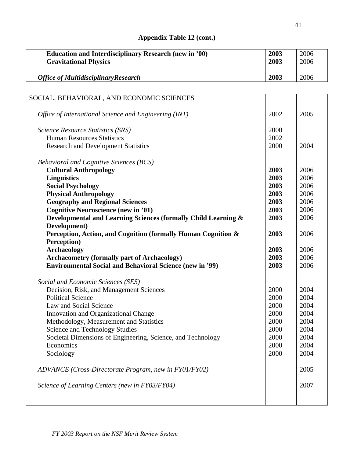| <b>Education and Interdisciplinary Research (new in '00)</b>                  | 2003         | 2006 |
|-------------------------------------------------------------------------------|--------------|------|
| <b>Gravitational Physics</b>                                                  | 2003         | 2006 |
| <b>Office of MultidisciplinaryResearch</b>                                    | 2003         | 2006 |
|                                                                               |              |      |
| SOCIAL, BEHAVIORAL, AND ECONOMIC SCIENCES                                     |              |      |
| Office of International Science and Engineering (INT)                         | 2002         | 2005 |
| Science Resource Statistics (SRS)                                             | 2000         |      |
| <b>Human Resources Statistics</b>                                             | 2002         |      |
| <b>Research and Development Statistics</b>                                    | 2000         | 2004 |
| <b>Behavioral and Cognitive Sciences (BCS)</b>                                |              |      |
| <b>Cultural Anthropology</b>                                                  | 2003         | 2006 |
| <b>Linguistics</b>                                                            | 2003         | 2006 |
| <b>Social Psychology</b>                                                      | 2003         | 2006 |
| <b>Physical Anthropology</b>                                                  | 2003         | 2006 |
| <b>Geography and Regional Sciences</b>                                        | 2003         | 2006 |
| <b>Cognitive Neuroscience (new in '01)</b>                                    | 2003         | 2006 |
| Developmental and Learning Sciences (formally Child Learning &                | 2003         | 2006 |
| Development)<br>Perception, Action, and Cognition (formally Human Cognition & | 2003         | 2006 |
| Perception)                                                                   |              |      |
| <b>Archaeology</b>                                                            | 2003         | 2006 |
| <b>Archaeometry (formally part of Archaeology)</b>                            | 2003         | 2006 |
| <b>Environmental Social and Behavioral Science (new in '99)</b>               | 2003         | 2006 |
| Social and Economic Sciences (SES)                                            |              |      |
| Decision, Risk, and Management Sciences                                       | 2000         | 2004 |
| <b>Political Science</b>                                                      | 2000         | 2004 |
| Law and Social Science                                                        | 2000         | 2004 |
| Innovation and Organizational Change                                          | 2000         | 2004 |
| Methodology, Measurement and Statistics                                       | 2000<br>2000 | 2004 |
| <b>Science and Technology Studies</b>                                         |              | 2004 |
| Societal Dimensions of Engineering, Science, and Technology                   | 2000         | 2004 |
| Economics                                                                     | 2000         | 2004 |
| Sociology                                                                     | 2000         | 2004 |
| ADVANCE (Cross-Directorate Program, new in FY01/FY02)                         |              | 2005 |
| Science of Learning Centers (new in FY03/FY04)                                |              | 2007 |
|                                                                               |              |      |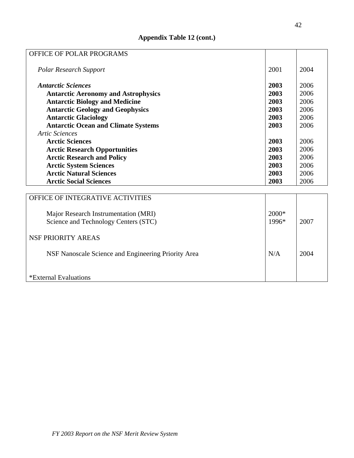| OFFICE OF POLAR PROGRAMS                   |      |      |
|--------------------------------------------|------|------|
| <b>Polar Research Support</b>              | 2001 | 2004 |
| <b>Antarctic Sciences</b>                  | 2003 | 2006 |
| <b>Antarctic Aeronomy and Astrophysics</b> | 2003 | 2006 |
| <b>Antarctic Biology and Medicine</b>      | 2003 | 2006 |
| <b>Antarctic Geology and Geophysics</b>    | 2003 | 2006 |
| <b>Antarctic Glaciology</b>                | 2003 | 2006 |
| <b>Antarctic Ocean and Climate Systems</b> | 2003 | 2006 |
| <b>Artic Sciences</b>                      |      |      |
| <b>Arctic Sciences</b>                     | 2003 | 2006 |
| <b>Arctic Research Opportunities</b>       | 2003 | 2006 |
| <b>Arctic Research and Policy</b>          | 2003 | 2006 |
| <b>Arctic System Sciences</b>              | 2003 | 2006 |
| <b>Arctic Natural Sciences</b>             | 2003 | 2006 |
| <b>Arctic Social Sciences</b>              | 2003 | 2006 |
|                                            |      |      |
| OFFICE OF INTEGRATIVE ACTIVITIES           |      |      |

| <b>OFFICE OF INTEGRATIVE ACTIVITIES</b>                                      |                |      |
|------------------------------------------------------------------------------|----------------|------|
| Major Research Instrumentation (MRI)<br>Science and Technology Centers (STC) | 2000*<br>1996* | 2007 |
| NSF PRIORITY AREAS                                                           |                |      |
| NSF Nanoscale Science and Engineering Priority Area                          | N/A            | 2004 |
| *External Evaluations                                                        |                |      |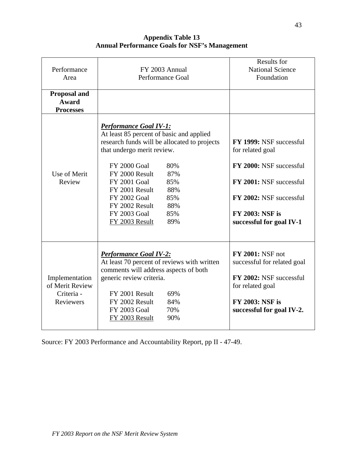**Appendix Table 13 Annual Performance Goals for NSF's Management** 

| Performance<br>Area<br><b>Proposal and</b>                   | FY 2003 Annual<br>Performance Goal                                                                                                                                                                                                                                                                                                                                    | <b>Results for</b><br><b>National Science</b><br>Foundation                                                                                                                        |
|--------------------------------------------------------------|-----------------------------------------------------------------------------------------------------------------------------------------------------------------------------------------------------------------------------------------------------------------------------------------------------------------------------------------------------------------------|------------------------------------------------------------------------------------------------------------------------------------------------------------------------------------|
| Award<br><b>Processes</b>                                    |                                                                                                                                                                                                                                                                                                                                                                       |                                                                                                                                                                                    |
| Use of Merit<br>Review                                       | <b>Performance Goal IV-1:</b><br>At least 85 percent of basic and applied<br>research funds will be allocated to projects<br>that undergo merit review.<br><b>FY 2000 Goal</b><br>80%<br>87%<br>FY 2000 Result<br><b>FY 2001 Goal</b><br>85%<br>FY 2001 Result<br>88%<br>85%<br>FY 2002 Goal<br>88%<br>FY 2002 Result<br>FY 2003 Goal<br>85%<br>89%<br>FY 2003 Result | FY 1999: NSF successful<br>for related goal<br>FY 2000: NSF successful<br>FY 2001: NSF successful<br>FY 2002: NSF successful<br><b>FY 2003: NSF is</b><br>successful for goal IV-1 |
| Implementation<br>of Merit Review<br>Criteria -<br>Reviewers | <b>Performance Goal IV-2:</b><br>At least 70 percent of reviews with written<br>comments will address aspects of both<br>generic review criteria.<br>FY 2001 Result<br>69%<br>FY 2002 Result<br>84%<br><b>FY 2003 Goal</b><br>70%<br>90%<br>FY 2003 Result                                                                                                            | <b>FY 2001: NSF not</b><br>successful for related goal<br>FY 2002: NSF successful<br>for related goal<br><b>FY 2003: NSF is</b><br>successful for goal IV-2.                       |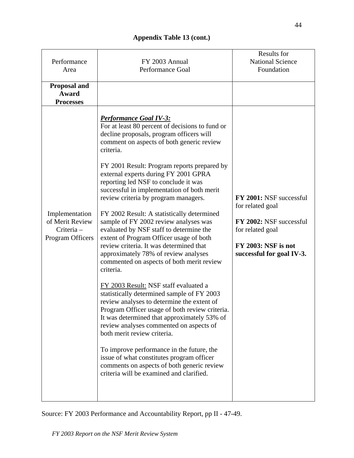| Performance<br>Area                                                | FY 2003 Annual<br>Performance Goal                                                                                                                                                                                                                                                                                                                                                                                                                                                                                                                                                                                                                                                                                                                                                                                                                                                                                                                                                                                                                                                                                                                                                                                                        | Results for<br><b>National Science</b><br>Foundation                                                                                           |
|--------------------------------------------------------------------|-------------------------------------------------------------------------------------------------------------------------------------------------------------------------------------------------------------------------------------------------------------------------------------------------------------------------------------------------------------------------------------------------------------------------------------------------------------------------------------------------------------------------------------------------------------------------------------------------------------------------------------------------------------------------------------------------------------------------------------------------------------------------------------------------------------------------------------------------------------------------------------------------------------------------------------------------------------------------------------------------------------------------------------------------------------------------------------------------------------------------------------------------------------------------------------------------------------------------------------------|------------------------------------------------------------------------------------------------------------------------------------------------|
| <b>Proposal and</b><br>Award<br><b>Processes</b>                   |                                                                                                                                                                                                                                                                                                                                                                                                                                                                                                                                                                                                                                                                                                                                                                                                                                                                                                                                                                                                                                                                                                                                                                                                                                           |                                                                                                                                                |
| Implementation<br>of Merit Review<br>Criteria-<br>Program Officers | <b>Performance Goal IV-3:</b><br>For at least 80 percent of decisions to fund or<br>decline proposals, program officers will<br>comment on aspects of both generic review<br>criteria.<br>FY 2001 Result: Program reports prepared by<br>external experts during FY 2001 GPRA<br>reporting led NSF to conclude it was<br>successful in implementation of both merit<br>review criteria by program managers.<br>FY 2002 Result: A statistically determined<br>sample of FY 2002 review analyses was<br>evaluated by NSF staff to determine the<br>extent of Program Officer usage of both<br>review criteria. It was determined that<br>approximately 78% of review analyses<br>commented on aspects of both merit review<br>criteria.<br>FY 2003 Result: NSF staff evaluated a<br>statistically determined sample of FY 2003<br>review analyses to determine the extent of<br>Program Officer usage of both review criteria.<br>It was determined that approximately 53% of<br>review analyses commented on aspects of<br>both merit review criteria.<br>To improve performance in the future, the<br>issue of what constitutes program officer<br>comments on aspects of both generic review<br>criteria will be examined and clarified. | FY 2001: NSF successful<br>for related goal<br>FY 2002: NSF successful<br>for related goal<br>FY 2003: NSF is not<br>successful for goal IV-3. |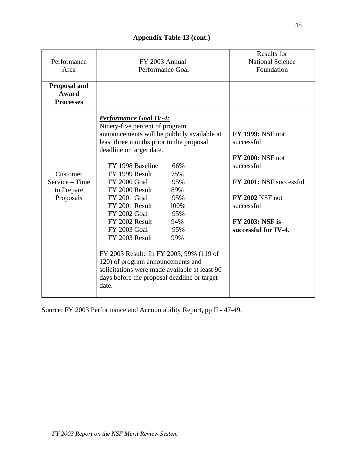| Performance<br>Area                                   | FY 2003 Annual<br><b>Performance Goal</b>                                                                                                                                                                                                                                                                                                                                                                                                                                                                                                                                                                                                                 | <b>Results for</b><br><b>National Science</b><br>Foundation                                                                                                                                         |
|-------------------------------------------------------|-----------------------------------------------------------------------------------------------------------------------------------------------------------------------------------------------------------------------------------------------------------------------------------------------------------------------------------------------------------------------------------------------------------------------------------------------------------------------------------------------------------------------------------------------------------------------------------------------------------------------------------------------------------|-----------------------------------------------------------------------------------------------------------------------------------------------------------------------------------------------------|
| <b>Proposal and</b><br>Award<br><b>Processes</b>      |                                                                                                                                                                                                                                                                                                                                                                                                                                                                                                                                                                                                                                                           |                                                                                                                                                                                                     |
| Customer<br>Service – Time<br>to Prepare<br>Proposals | <b>Performance Goal IV-4:</b><br>Ninety-five percent of program<br>announcements will be publicly available at<br>least three months prior to the proposal<br>deadline or target date.<br>FY 1998 Baseline<br>66%<br>FY 1999 Result<br>75%<br><b>FY 2000 Goal</b><br>95%<br>FY 2000 Result<br>89%<br><b>FY 2001 Goal</b><br>95%<br>FY 2001 Result<br>100%<br><b>FY 2002 Goal</b><br>95%<br>FY 2002 Result<br>94%<br>FY 2003 Goal<br>95%<br>FY 2003 Result<br>99%<br>FY 2003 Result: In FY 2003, 99% (119 of<br>120) of program announcements and<br>solicitations were made available at least 90<br>days before the proposal deadline or target<br>date. | <b>FY 1999: NSF not</b><br>successful<br><b>FY 2000: NSF not</b><br>successful<br>FY 2001: NSF successful<br><b>FY 2002 NSF not</b><br>successful<br><b>FY 2003: NSF is</b><br>successful for IV-4. |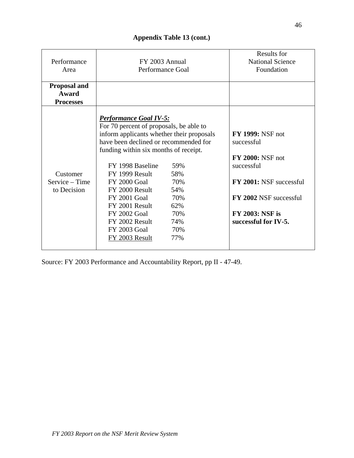| Performance<br>Area | FY 2003 Annual<br>Performance Goal                                                                                                                                                                      | <b>Results for</b><br><b>National Science</b><br>Foundation |
|---------------------|---------------------------------------------------------------------------------------------------------------------------------------------------------------------------------------------------------|-------------------------------------------------------------|
| <b>Proposal and</b> |                                                                                                                                                                                                         |                                                             |
| Award               |                                                                                                                                                                                                         |                                                             |
| <b>Processes</b>    |                                                                                                                                                                                                         |                                                             |
|                     | <b>Performance Goal IV-5:</b><br>For 70 percent of proposals, be able to<br>inform applicants whether their proposals<br>have been declined or recommended for<br>funding within six months of receipt. | <b>FY 1999: NSF not</b><br>successful                       |
|                     |                                                                                                                                                                                                         | <b>FY 2000: NSF not</b>                                     |
|                     | FY 1998 Baseline<br>59%                                                                                                                                                                                 | successful                                                  |
| Customer            | 58%<br>FY 1999 Result                                                                                                                                                                                   |                                                             |
| Service – Time      | <b>FY 2000 Goal</b><br>70%                                                                                                                                                                              | FY 2001: NSF successful                                     |
| to Decision         | FY 2000 Result<br>54%                                                                                                                                                                                   |                                                             |
|                     | 70%<br><b>FY 2001 Goal</b>                                                                                                                                                                              | FY 2002 NSF successful                                      |
|                     | FY 2001 Result<br>62%                                                                                                                                                                                   |                                                             |
|                     | <b>FY 2002 Goal</b><br>70%                                                                                                                                                                              | <b>FY 2003: NSF is</b>                                      |
|                     | FY 2002 Result<br>74%                                                                                                                                                                                   | successful for IV-5.                                        |
|                     | FY 2003 Goal<br>70%                                                                                                                                                                                     |                                                             |
|                     | FY 2003 Result<br>77%                                                                                                                                                                                   |                                                             |
|                     |                                                                                                                                                                                                         |                                                             |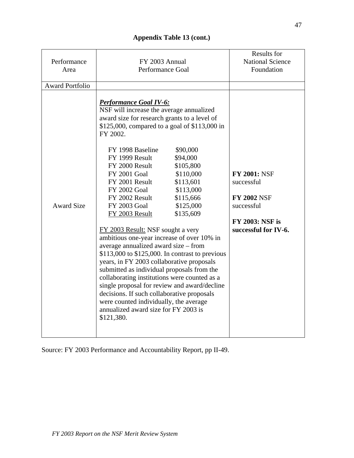| Performance<br>Area    | FY 2003 Annual<br><b>Performance Goal</b>                                                                                                                                                                                                                                                                                                                                                                                                                                                                                                                                                                                                                                                                                                                                                                                                                                                                                                                                                                       | Results for<br><b>National Science</b><br>Foundation                                                                    |
|------------------------|-----------------------------------------------------------------------------------------------------------------------------------------------------------------------------------------------------------------------------------------------------------------------------------------------------------------------------------------------------------------------------------------------------------------------------------------------------------------------------------------------------------------------------------------------------------------------------------------------------------------------------------------------------------------------------------------------------------------------------------------------------------------------------------------------------------------------------------------------------------------------------------------------------------------------------------------------------------------------------------------------------------------|-------------------------------------------------------------------------------------------------------------------------|
| <b>Award Portfolio</b> |                                                                                                                                                                                                                                                                                                                                                                                                                                                                                                                                                                                                                                                                                                                                                                                                                                                                                                                                                                                                                 |                                                                                                                         |
| <b>Award Size</b>      | <b>Performance Goal IV-6:</b><br>NSF will increase the average annualized<br>award size for research grants to a level of<br>\$125,000, compared to a goal of \$113,000 in<br>FY 2002.<br>FY 1998 Baseline<br>\$90,000<br>FY 1999 Result<br>\$94,000<br>FY 2000 Result<br>\$105,800<br><b>FY 2001 Goal</b><br>\$110,000<br>FY 2001 Result<br>\$113,601<br><b>FY 2002 Goal</b><br>\$113,000<br>FY 2002 Result<br>\$115,666<br>FY 2003 Goal<br>\$125,000<br>\$135,609<br>FY 2003 Result<br>FY 2003 Result: NSF sought a very<br>ambitious one-year increase of over 10% in<br>average annualized award size – from<br>$$113,000$ to $$125,000$ . In contrast to previous<br>years, in FY 2003 collaborative proposals<br>submitted as individual proposals from the<br>collaborating institutions were counted as a<br>single proposal for review and award/decline<br>decisions. If such collaborative proposals<br>were counted individually, the average<br>annualized award size for FY 2003 is<br>\$121,380. | <b>FY 2001: NSF</b><br>successful<br><b>FY 2002 NSF</b><br>successful<br><b>FY 2003: NSF is</b><br>successful for IV-6. |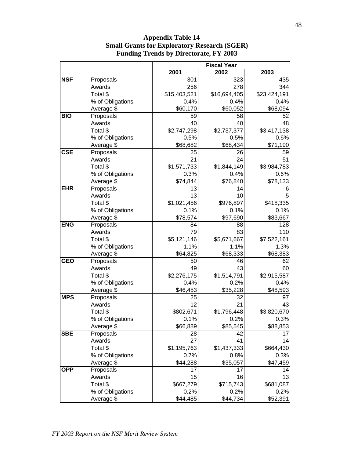|            |                  |              | <b>Fiscal Year</b> |              |  |
|------------|------------------|--------------|--------------------|--------------|--|
|            |                  | 2001         | 2002               | 2003         |  |
| <b>NSF</b> | Proposals        | 301          | 323                | 435          |  |
|            | Awards           | 256          | 278                | 344          |  |
|            | Total \$         | \$15,403,521 | \$16,694,405       | \$23,424,191 |  |
|            | % of Obligations | 0.4%         | 0.4%               | 0.4%         |  |
|            | Average \$       | \$60,170     | \$60,052           | \$68,094     |  |
| <b>BIO</b> | Proposals        | 59           | 58                 | 52           |  |
|            | Awards           | 40           | 40                 | 48           |  |
|            | Total \$         | \$2,747,298  | \$2,737,377        | \$3,417,138  |  |
|            | % of Obligations | 0.5%         | 0.5%               | 0.6%         |  |
|            | Average \$       | \$68,682     | \$68,434           | \$71,190     |  |
| <b>CSE</b> | Proposals        | 25           | 26                 | 59           |  |
|            | Awards           | 21           | 24                 | 51           |  |
|            | Total \$         | \$1,571,733  | \$1,844,149        | \$3,984,783  |  |
|            | % of Obligations | 0.3%         | 0.4%               | 0.6%         |  |
|            | Average \$       | \$74,844     | \$76,840           | \$78,133     |  |
| <b>EHR</b> | Proposals        | 13           | 14                 | 6            |  |
|            | Awards           | 13           | 10                 | 5            |  |
|            | Total \$         | \$1,021,456  | \$976,897          | \$418,335    |  |
|            | % of Obligations | 0.1%         | 0.1%               | 0.1%         |  |
|            | Average \$       | \$78,574     | \$97,690           | \$83,667     |  |
| <b>ENG</b> | Proposals        | 84           | 88                 | 128          |  |
|            | Awards           | 79           | 83                 | 110          |  |
|            | Total \$         | \$5,121,146  | \$5,671,667        | \$7,522,161  |  |
|            | % of Obligations | 1.1%         | 1.1%               | 1.3%         |  |
|            | Average \$       | \$64,825     | \$68,333           | \$68,383     |  |
| <b>GEO</b> | Proposals        | 50           | 46                 | 62           |  |
|            | Awards           | 49           | 43                 | 60           |  |
|            | Total \$         | \$2,276,175  | \$1,514,791        | \$2,915,587  |  |
|            | % of Obligations | 0.4%         | 0.2%               | 0.4%         |  |
|            | Average \$       | \$46,453     | \$35,228           | \$48,593     |  |
| <b>MPS</b> | Proposals        | 25           | 32                 | 97           |  |
|            | Awards           | 12           | 21                 | 43           |  |
|            | Total \$         | \$802,671    | \$1,796,448        | \$3,820,670  |  |
|            | % of Obligations | 0.1%         | 0.2%               | 0.3%         |  |
|            | Average \$       | \$66,889     | \$85,545           | \$88,853     |  |
| <b>SBE</b> | Proposals        | 28           | 42                 | 17           |  |
|            | Awards           | 27           | 41                 | 14           |  |
|            | Total \$         | \$1,195,763  | \$1,437,333        | \$664,430    |  |
|            | % of Obligations | 0.7%         | 0.8%               | 0.3%         |  |
|            | Average \$       | \$44,288     | \$35,057           | \$47,459     |  |
| <b>OPP</b> | Proposals        | 17           | 17                 | 14           |  |
|            | Awards           | 15           | 16                 | 13           |  |
|            | Total \$         | \$667,279    | \$715,743          | \$681,087    |  |
|            | % of Obligations | 0.2%         | 0.2%               | 0.2%         |  |
|            | Average \$       | \$44,485     | \$44,734           | \$52,391     |  |

**Appendix Table 14 Small Grants for Exploratory Research (SGER) Funding Trends by Directorate, FY 2003**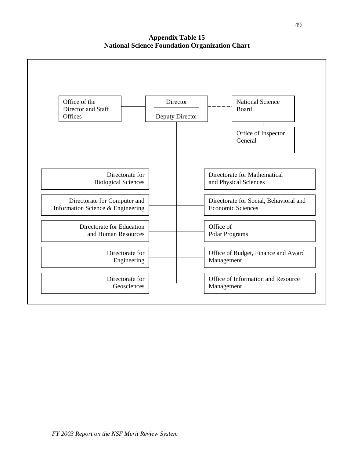**Appendix Table 15 National Science Foundation Organization Chart**